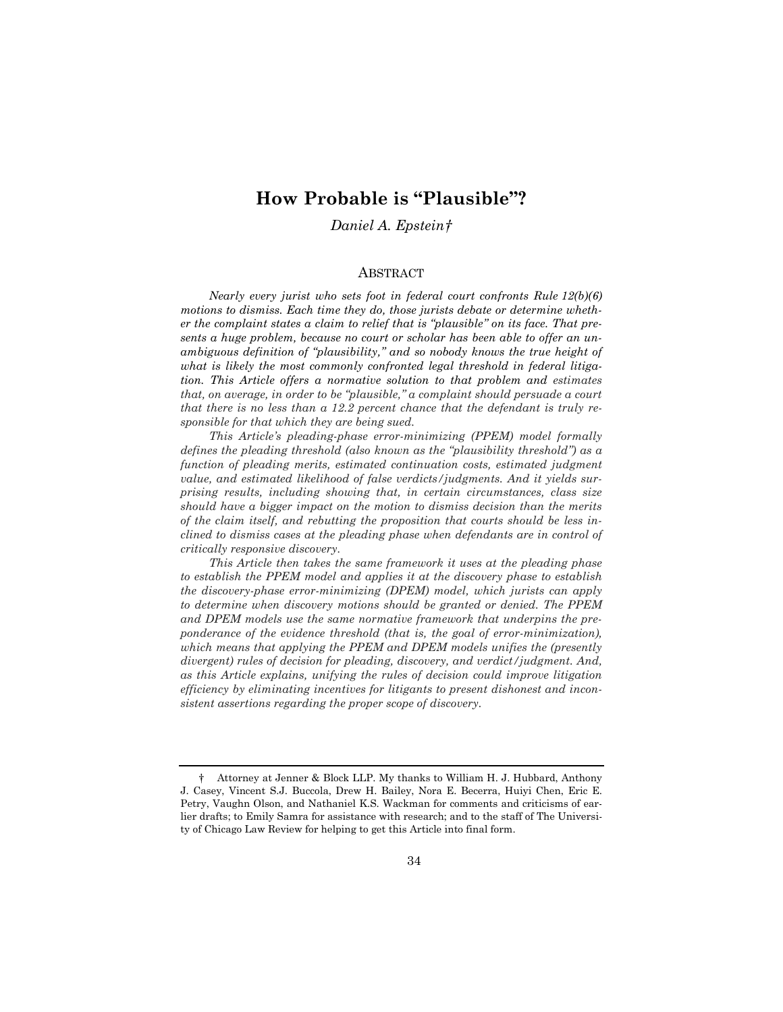# **How Probable is "Plausible"?**

## *Daniel A. Epstein[†](#page-0-0)*

#### ABSTRACT

*Nearly every jurist who sets foot in federal court confronts Rule 12(b)(6) motions to dismiss. Each time they do, those jurists debate or determine whether the complaint states a claim to relief that is "plausible" on its face. That presents a huge problem, because no court or scholar has been able to offer an unambiguous definition of "plausibility," and so nobody knows the true height of what is likely the most commonly confronted legal threshold in federal litigation. This Article offers a normative solution to that problem and estimates that, on average, in order to be "plausible," a complaint should persuade a court that there is no less than a 12.2 percent chance that the defendant is truly responsible for that which they are being sued.*

*This Article's pleading-phase error-minimizing (PPEM) model formally defines the pleading threshold (also known as the "plausibility threshold") as a*  function of pleading merits, estimated continuation costs, estimated judgment *value, and estimated likelihood of false verdicts/judgments. And it yields surprising results, including showing that, in certain circumstances, class size should have a bigger impact on the motion to dismiss decision than the merits of the claim itself, and rebutting the proposition that courts should be less inclined to dismiss cases at the pleading phase when defendants are in control of critically responsive discovery.*

*This Article then takes the same framework it uses at the pleading phase to establish the PPEM model and applies it at the discovery phase to establish the discovery-phase error-minimizing (DPEM) model, which jurists can apply to determine when discovery motions should be granted or denied. The PPEM and DPEM models use the same normative framework that underpins the preponderance of the evidence threshold (that is, the goal of error-minimization), which means that applying the PPEM and DPEM models unifies the (presently divergent) rules of decision for pleading, discovery, and verdict/judgment. And, as this Article explains, unifying the rules of decision could improve litigation efficiency by eliminating incentives for litigants to present dishonest and inconsistent assertions regarding the proper scope of discovery.*

<span id="page-0-0"></span><sup>†</sup> Attorney at Jenner & Block LLP. My thanks to William H. J. Hubbard, Anthony J. Casey, Vincent S.J. Buccola, Drew H. Bailey, Nora E. Becerra, Huiyi Chen, Eric E. Petry, Vaughn Olson, and Nathaniel K.S. Wackman for comments and criticisms of earlier drafts; to Emily Samra for assistance with research; and to the staff of The University of Chicago Law Review for helping to get this Article into final form.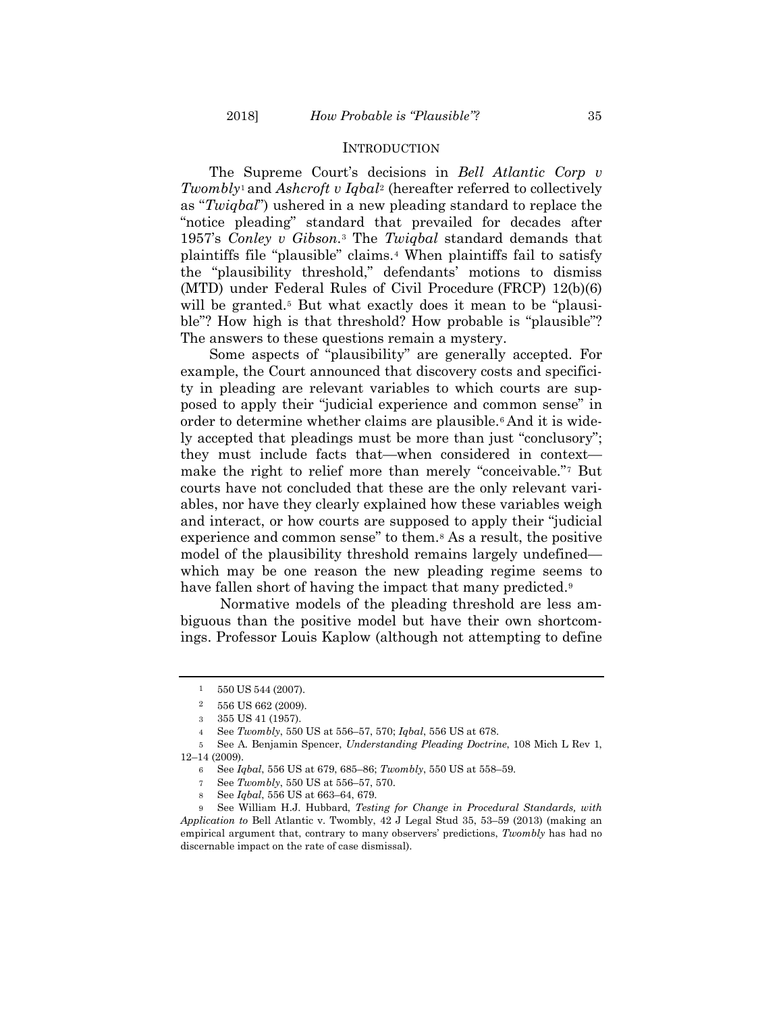#### **INTRODUCTION**

The Supreme Court's decisions in *Bell Atlantic Corp v Twombly*[1](#page-1-0) and *Ashcroft v Iqbal*[2](#page-1-1) (hereafter referred to collectively as "*Twiqbal*") ushered in a new pleading standard to replace the "notice pleading" standard that prevailed for decades after 1957's *Conley v Gibson*.[3](#page-1-2) The *Twiqbal* standard demands that plaintiffs file "plausible" claims.[4](#page-1-3) When plaintiffs fail to satisfy the "plausibility threshold," defendants' motions to dismiss (MTD) under Federal Rules of Civil Procedure (FRCP) 12(b)(6) will be granted.<sup>[5](#page-1-4)</sup> But what exactly does it mean to be "plausible"? How high is that threshold? How probable is "plausible"? The answers to these questions remain a mystery.

Some aspects of "plausibility" are generally accepted. For example, the Court announced that discovery costs and specificity in pleading are relevant variables to which courts are supposed to apply their "judicial experience and common sense" in order to determine whether claims are plausible.[6](#page-1-5) And it is widely accepted that pleadings must be more than just "conclusory"; they must include facts that—when considered in context make the right to relief more than merely "conceivable."[7](#page-1-6) But courts have not concluded that these are the only relevant variables, nor have they clearly explained how these variables weigh and interact, or how courts are supposed to apply their "judicial experience and common sense" to them.[8](#page-1-7) As a result, the positive model of the plausibility threshold remains largely undefined which may be one reason the new pleading regime seems to have fallen short of having the impact that many predicted.<sup>[9](#page-1-8)</sup>

Normative models of the pleading threshold are less ambiguous than the positive model but have their own shortcomings. Professor Louis Kaplow (although not attempting to define

 $1 - 550$  US 544 (2007).

<sup>2</sup> 556 US 662 (2009).

<sup>3</sup> 355 US 41 (1957).

<sup>4</sup> See *Twombly*, 550 US at 556–57, 570; *Iqbal*, 556 US at 678.

<span id="page-1-5"></span><span id="page-1-4"></span><span id="page-1-3"></span><span id="page-1-2"></span><span id="page-1-1"></span><span id="page-1-0"></span><sup>5</sup> See A. Benjamin Spencer, *Understanding Pleading Doctrine*, 108 Mich L Rev 1, 12–14 (2009).

<sup>6</sup> See *Iqbal*, 556 US at 679, 685–86; *Twombly*, 550 US at 558–59.

<sup>7</sup> See *Twombly*, 550 US at 556–57, 570.

<sup>8</sup> See *Iqbal*, 556 US at 663–64, 679.

<span id="page-1-8"></span><span id="page-1-7"></span><span id="page-1-6"></span><sup>9</sup> See William H.J. Hubbard, *Testing for Change in Procedural Standards, with Application to* Bell Atlantic v. Twombly, 42 J Legal Stud 35, 53–59 (2013) (making an empirical argument that, contrary to many observers' predictions, *Twombly* has had no discernable impact on the rate of case dismissal).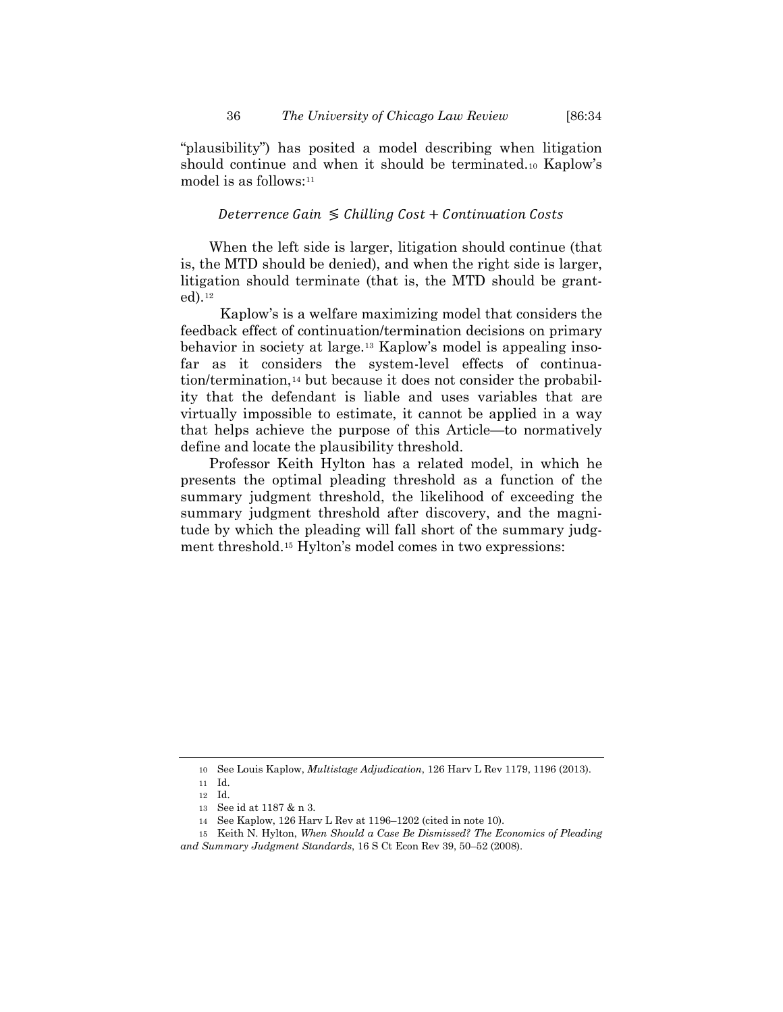"plausibility") has posited a model describing when litigation should continue and when it should be terminated.[10](#page-2-1) Kaplow's model is as follows:<sup>[11](#page-2-2)</sup>

#### <span id="page-2-0"></span>Deterrence Gain  $\leq$  Chilling Cost + Continuation Costs

When the left side is larger, litigation should continue (that is, the MTD should be denied), and when the right side is larger, litigation should terminate (that is, the MTD should be granted).[12](#page-2-3)

Kaplow's is a welfare maximizing model that considers the feedback effect of continuation/termination decisions on primary behavior in society at large[.13](#page-2-4) Kaplow's model is appealing insofar as it considers the system-level effects of continua-tion/termination,<sup>[14](#page-2-5)</sup> but because it does not consider the probability that the defendant is liable and uses variables that are virtually impossible to estimate, it cannot be applied in a way that helps achieve the purpose of this Article—to normatively define and locate the plausibility threshold.

<span id="page-2-7"></span>Professor Keith Hylton has a related model, in which he presents the optimal pleading threshold as a function of the summary judgment threshold, the likelihood of exceeding the summary judgment threshold after discovery, and the magnitude by which the pleading will fall short of the summary judgment threshold[.15](#page-2-6) Hylton's model comes in two expressions:

<sup>10</sup> See Louis Kaplow, *Multistage Adjudication*, 126 Harv L Rev 1179, 1196 (2013).

<sup>11</sup> Id. 12 Id.

<sup>13</sup> See id at 1187 & n 3.

<sup>14</sup> See Kaplow, 126 Harv L Rev at 1196–1202 (cited in note [10\)](#page-2-0).

<sup>15</sup> Keith N. Hylton, *When Should a Case Be Dismissed? The Economics of Pleading* 

<span id="page-2-6"></span><span id="page-2-5"></span><span id="page-2-4"></span><span id="page-2-3"></span><span id="page-2-2"></span><span id="page-2-1"></span>*and Summary Judgment Standards*, 16 S Ct Econ Rev 39, 50–52 (2008).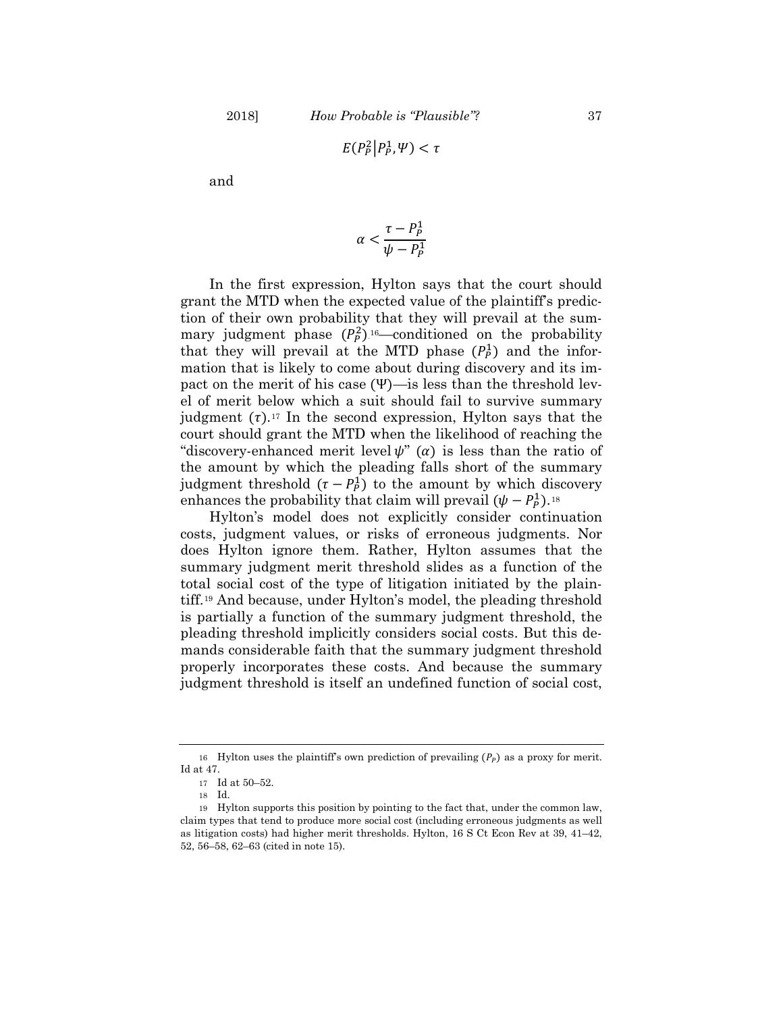$$
E(P_P^2|P_P^1,\Psi)<\tau
$$

and

$$
\alpha < \frac{\tau - P_P^1}{\psi - P_P^1}
$$

In the first expression, Hylton says that the court should grant the MTD when the expected value of the plaintiff's prediction of their own probability that they will prevail at the summary judgment phase  $(P_P^2)^{16}$  conditioned on the probability that they will prevail at the MTD phase  $(P_P^1)$  and the information that is likely to come about during discovery and its impact on the merit of his case (Ψ)—is less than the threshold level of merit below which a suit should fail to survive summary judgment  $(\tau)$ .<sup>[17](#page-3-0)</sup> In the second expression, Hylton says that the court should grant the MTD when the likelihood of reaching the "discovery-enhanced merit level  $\psi$ " ( $\alpha$ ) is less than the ratio of the amount by which the pleading falls short of the summary judgment threshold  $(\tau - P_P^1)$  to the amount by which discovery enhances the probability that claim will prevail  $(\psi - P_p^1)$ .<sup>[18](#page-3-1)</sup>

Hylton's model does not explicitly consider continuation costs, judgment values, or risks of erroneous judgments. Nor does Hylton ignore them. Rather, Hylton assumes that the summary judgment merit threshold slides as a function of the total social cost of the type of litigation initiated by the plaintiff.[19](#page-3-2) And because, under Hylton's model, the pleading threshold is partially a function of the summary judgment threshold, the pleading threshold implicitly considers social costs. But this demands considerable faith that the summary judgment threshold properly incorporates these costs. And because the summary judgment threshold is itself an undefined function of social cost,

<sup>16</sup> Hylton uses the plaintiff's own prediction of prevailing  $(P_p)$  as a proxy for merit. Id at 47.

<sup>17</sup> Id at 50–52.

<sup>18</sup> Id.

<span id="page-3-2"></span><span id="page-3-1"></span><span id="page-3-0"></span><sup>19</sup> Hylton supports this position by pointing to the fact that, under the common law, claim types that tend to produce more social cost (including erroneous judgments as well as litigation costs) had higher merit thresholds. Hylton, 16 S Ct Econ Rev at 39, 41–42, 52, 56–58, 62–63 (cited in note [15\)](#page-2-7).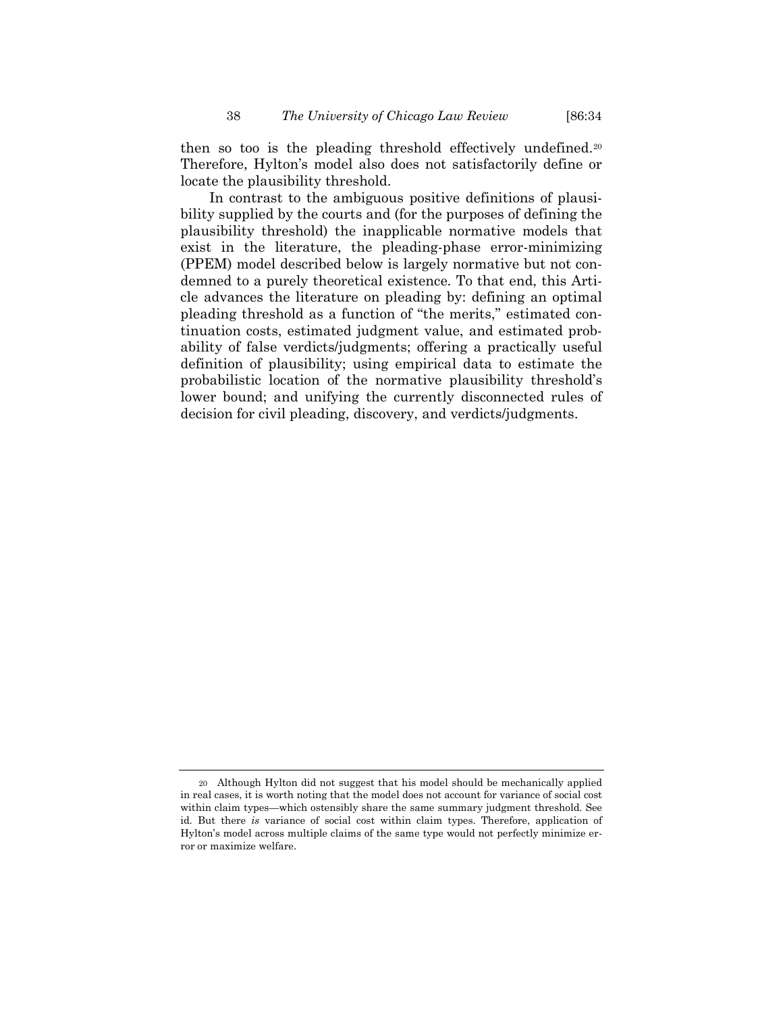then so too is the pleading threshold effectively undefined.[20](#page-4-0) Therefore, Hylton's model also does not satisfactorily define or locate the plausibility threshold.

In contrast to the ambiguous positive definitions of plausibility supplied by the courts and (for the purposes of defining the plausibility threshold) the inapplicable normative models that exist in the literature, the pleading-phase error-minimizing (PPEM) model described below is largely normative but not condemned to a purely theoretical existence. To that end, this Article advances the literature on pleading by: defining an optimal pleading threshold as a function of "the merits," estimated continuation costs, estimated judgment value, and estimated probability of false verdicts/judgments; offering a practically useful definition of plausibility; using empirical data to estimate the probabilistic location of the normative plausibility threshold's lower bound; and unifying the currently disconnected rules of decision for civil pleading, discovery, and verdicts/judgments.

<span id="page-4-0"></span><sup>20</sup> Although Hylton did not suggest that his model should be mechanically applied in real cases, it is worth noting that the model does not account for variance of social cost within claim types—which ostensibly share the same summary judgment threshold. See id. But there *is* variance of social cost within claim types. Therefore, application of Hylton's model across multiple claims of the same type would not perfectly minimize error or maximize welfare.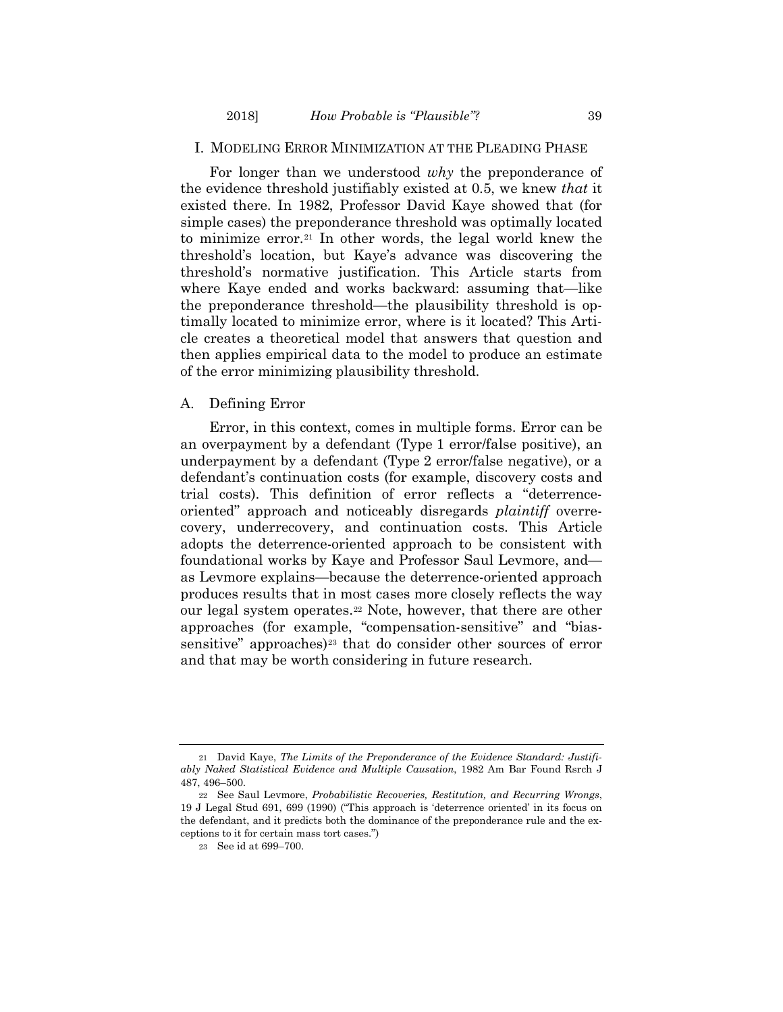## I. MODELING ERROR MINIMIZATION AT THE PLEADING PHASE

<span id="page-5-3"></span>For longer than we understood *why* the preponderance of the evidence threshold justifiably existed at 0.5, we knew *that* it existed there. In 1982, Professor David Kaye showed that (for simple cases) the preponderance threshold was optimally located to minimize error.[21](#page-5-0) In other words, the legal world knew the threshold's location, but Kaye's advance was discovering the threshold's normative justification. This Article starts from where Kaye ended and works backward: assuming that—like the preponderance threshold—the plausibility threshold is optimally located to minimize error, where is it located? This Article creates a theoretical model that answers that question and then applies empirical data to the model to produce an estimate of the error minimizing plausibility threshold.

#### A. Defining Error

Error, in this context, comes in multiple forms. Error can be an overpayment by a defendant (Type 1 error/false positive), an underpayment by a defendant (Type 2 error/false negative), or a defendant's continuation costs (for example, discovery costs and trial costs). This definition of error reflects a "deterrenceoriented" approach and noticeably disregards *plaintiff* overrecovery, underrecovery, and continuation costs. This Article adopts the deterrence-oriented approach to be consistent with foundational works by Kaye and Professor Saul Levmore, and as Levmore explains—because the deterrence-oriented approach produces results that in most cases more closely reflects the way our legal system operates.[22](#page-5-1) Note, however, that there are other approaches (for example, "compensation-sensitive" and "bias-sensitive" approaches)<sup>[23](#page-5-2)</sup> that do consider other sources of error and that may be worth considering in future research.

<span id="page-5-0"></span><sup>21</sup> David Kaye, *The Limits of the Preponderance of the Evidence Standard: Justifiably Naked Statistical Evidence and Multiple Causation*, 1982 Am Bar Found Rsrch J 487, 496–500.

<span id="page-5-2"></span><span id="page-5-1"></span><sup>22</sup> See Saul Levmore, *Probabilistic Recoveries, Restitution, and Recurring Wrongs*, 19 J Legal Stud 691, 699 (1990) ("This approach is 'deterrence oriented' in its focus on the defendant, and it predicts both the dominance of the preponderance rule and the exceptions to it for certain mass tort cases.")

<sup>23</sup> See id at 699–700.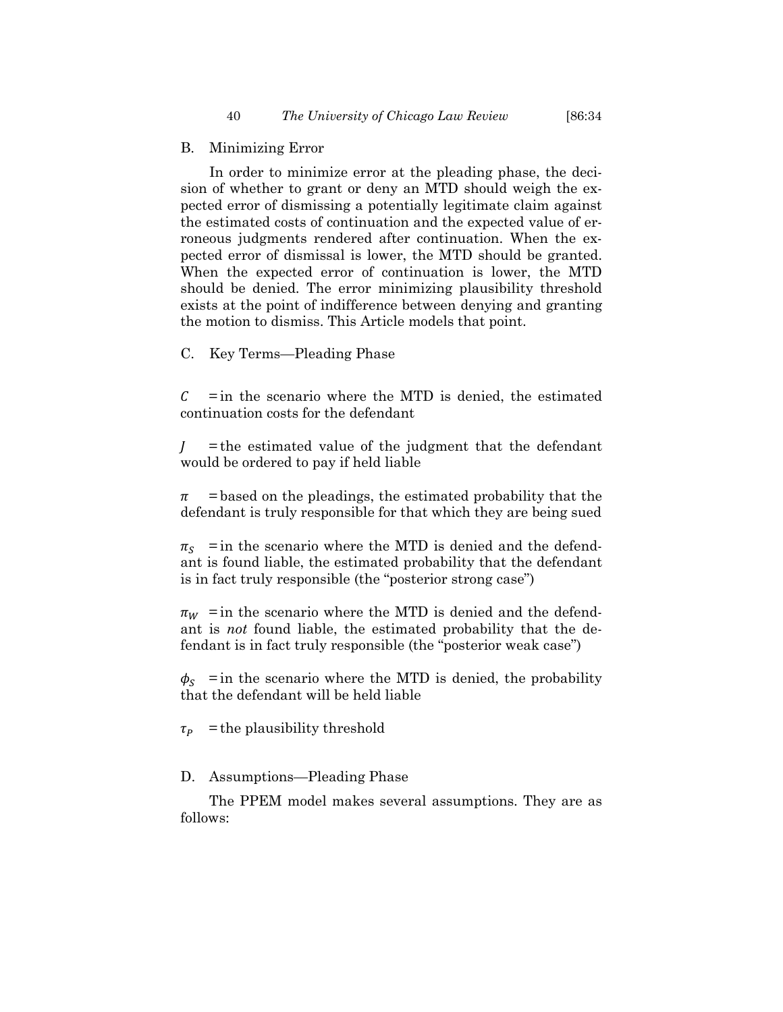#### B. Minimizing Error

In order to minimize error at the pleading phase, the decision of whether to grant or deny an MTD should weigh the expected error of dismissing a potentially legitimate claim against the estimated costs of continuation and the expected value of erroneous judgments rendered after continuation. When the expected error of dismissal is lower, the MTD should be granted. When the expected error of continuation is lower, the MTD should be denied. The error minimizing plausibility threshold exists at the point of indifference between denying and granting the motion to dismiss. This Article models that point.

C. Key Terms—Pleading Phase

 $\mathcal{C}$  = in the scenario where the MTD is denied, the estimated continuation costs for the defendant

 $J$  = the estimated value of the judgment that the defendant would be ordered to pay if held liable

 $\pi$  = based on the pleadings, the estimated probability that the defendant is truly responsible for that which they are being sued

 $\pi_s$  = in the scenario where the MTD is denied and the defendant is found liable, the estimated probability that the defendant is in fact truly responsible (the "posterior strong case")

 $\pi_W$  = in the scenario where the MTD is denied and the defendant is *not* found liable, the estimated probability that the defendant is in fact truly responsible (the "posterior weak case")

 $\phi_s$  = in the scenario where the MTD is denied, the probability that the defendant will be held liable

 $\tau_P$  = the plausibility threshold

#### D. Assumptions—Pleading Phase

The PPEM model makes several assumptions. They are as follows: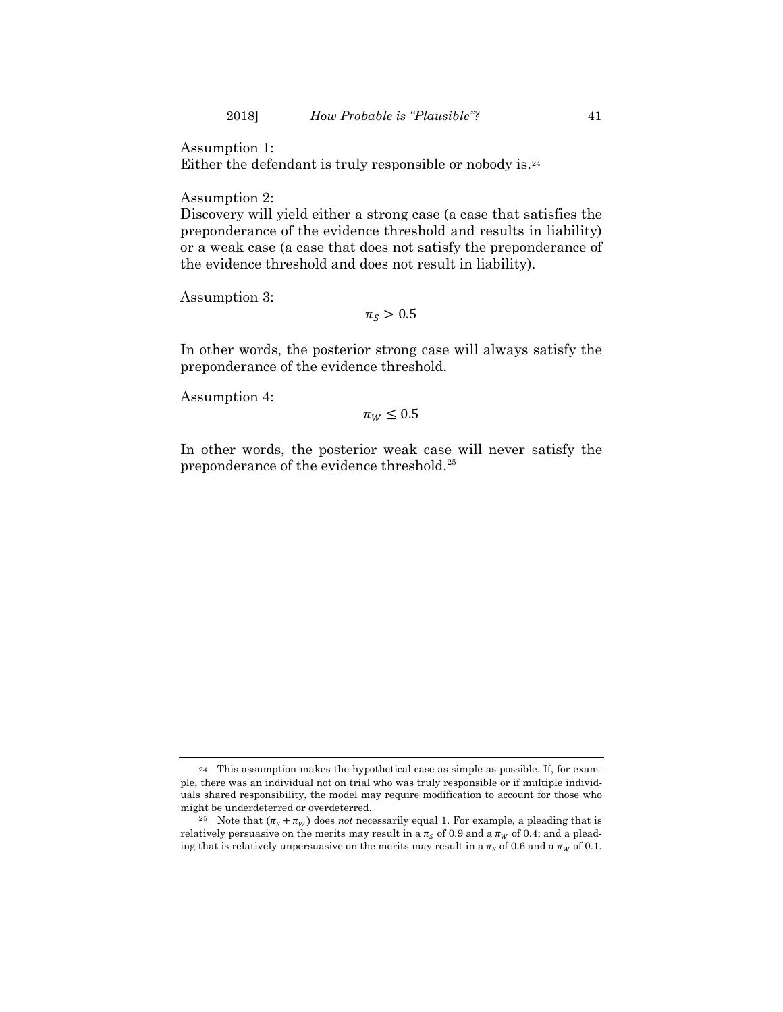Assumption 1:

Either the defendant is truly responsible or nobody is.[24](#page-7-0)

Assumption 2:

Discovery will yield either a strong case (a case that satisfies the preponderance of the evidence threshold and results in liability) or a weak case (a case that does not satisfy the preponderance of the evidence threshold and does not result in liability).

Assumption 3:

 $\pi_{S} > 0.5$ 

In other words, the posterior strong case will always satisfy the preponderance of the evidence threshold.

Assumption 4:

 $\pi_W \leq 0.5$ 

In other words, the posterior weak case will never satisfy the preponderance of the evidence threshold.<sup>[25](#page-7-1)</sup>

<span id="page-7-0"></span><sup>24</sup> This assumption makes the hypothetical case as simple as possible. If, for example, there was an individual not on trial who was truly responsible or if multiple individuals shared responsibility, the model may require modification to account for those who might be underdeterred or overdeterred.

<span id="page-7-1"></span><sup>&</sup>lt;sup>25</sup> Note that  $(\pi_s + \pi_w)$  does *not* necessarily equal 1. For example, a pleading that is relatively persuasive on the merits may result in a  $\pi<sub>S</sub>$  of 0.9 and a  $\pi<sub>W</sub>$  of 0.4; and a pleading that is relatively unpersuasive on the merits may result in a  $\pi_s$  of 0.6 and a  $\pi_w$  of 0.1.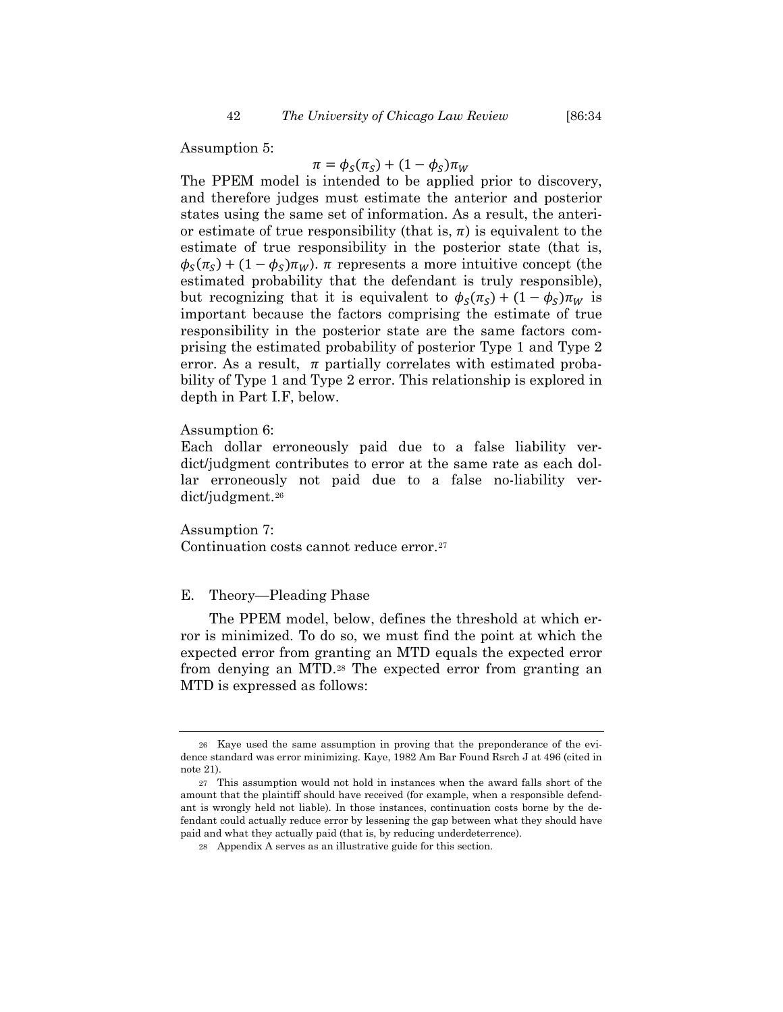# $\pi = \phi_S(\pi_S) + (1 - \phi_S)\pi_W$

The PPEM model is intended to be applied prior to discovery, and therefore judges must estimate the anterior and posterior states using the same set of information. As a result, the anterior estimate of true responsibility (that is,  $\pi$ ) is equivalent to the estimate of true responsibility in the posterior state (that is,  $\phi_S(\pi_S) + (1 - \phi_S)\pi_W$ ).  $\pi$  represents a more intuitive concept (the estimated probability that the defendant is truly responsible), but recognizing that it is equivalent to  $\phi_S(\pi_S) + (1 - \phi_S) \pi_W$  is important because the factors comprising the estimate of true responsibility in the posterior state are the same factors comprising the estimated probability of posterior Type 1 and Type 2 error. As a result,  $\pi$  partially correlates with estimated probability of Type 1 and Type 2 error. This relationship is explored in depth in Part I.F, below.

#### Assumption 6:

Each dollar erroneously paid due to a false liability verdict/judgment contributes to error at the same rate as each dollar erroneously not paid due to a false no-liability verdict/judgment.[26](#page-8-0)

Assumption 7: Continuation costs cannot reduce error.[27](#page-8-1)

# E. Theory—Pleading Phase

The PPEM model, below, defines the threshold at which error is minimized. To do so, we must find the point at which the expected error from granting an MTD equals the expected error from denying an MTD.[28](#page-8-2) The expected error from granting an MTD is expressed as follows:

<span id="page-8-0"></span><sup>26</sup> Kaye used the same assumption in proving that the preponderance of the evidence standard was error minimizing. Kaye, 1982 Am Bar Found Rsrch J at 496 (cited in not[e 21\)](#page-5-3).

<span id="page-8-2"></span><span id="page-8-1"></span><sup>27</sup> This assumption would not hold in instances when the award falls short of the amount that the plaintiff should have received (for example, when a responsible defendant is wrongly held not liable). In those instances, continuation costs borne by the defendant could actually reduce error by lessening the gap between what they should have paid and what they actually paid (that is, by reducing underdeterrence).

<sup>28</sup> Appendix A serves as an illustrative guide for this section.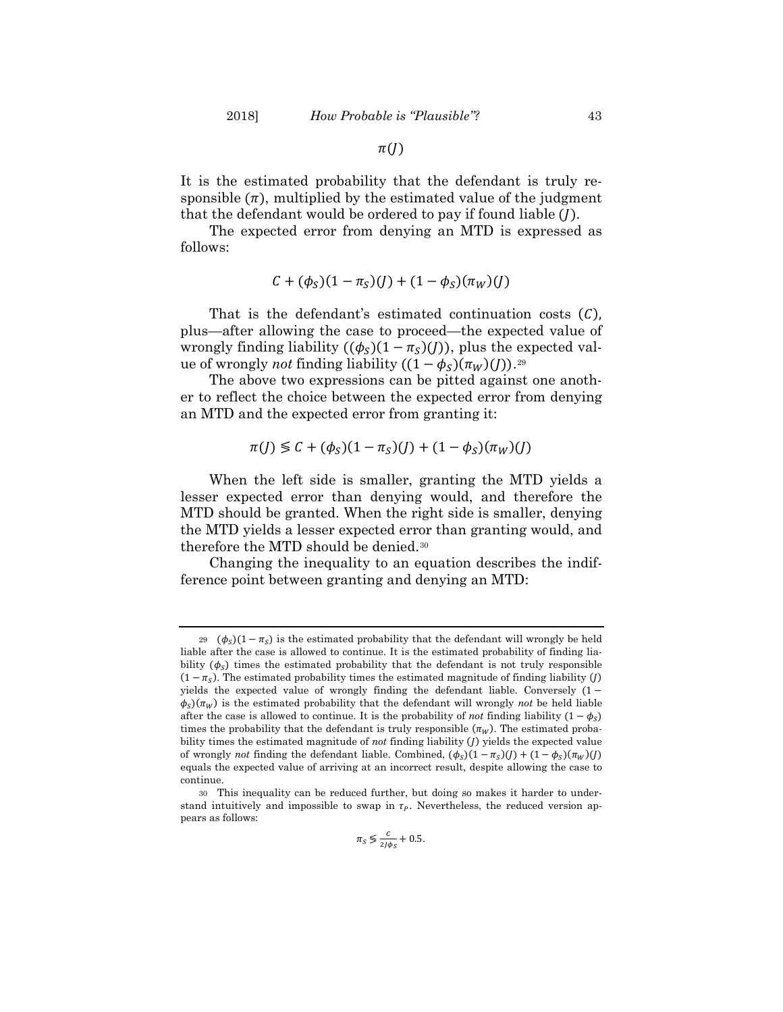$\pi(J)$ 

It is the estimated probability that the defendant is truly responsible  $(\pi)$ , multiplied by the estimated value of the judgment that the defendant would be ordered to pay if found liable  $(I)$ .

The expected error from denying an MTD is expressed as follows:

$$
C + (\phi_S)(1 - \pi_S)(J) + (1 - \phi_S)(\pi_W)(J)
$$

That is the defendant's estimated continuation costs  $(C)$ , plus—after allowing the case to proceed—the expected value of wrongly finding liability  $((\phi_s)(1 - \pi_s)(I))$ , plus the expected value of wrongly *not* finding liability  $((1 − φ<sub>S</sub>)(π<sub>W</sub>)(J))$ .<sup>[29](#page-9-0)</sup>

The above two expressions can be pitted against one another to reflect the choice between the expected error from denying an MTD and the expected error from granting it:

$$
\pi(J) \lessgtr C + (\phi_S)(1 - \pi_S)(J) + (1 - \phi_S)(\pi_W)(J)
$$

When the left side is smaller, granting the MTD yields a lesser expected error than denying would, and therefore the MTD should be granted. When the right side is smaller, denying the MTD yields a lesser expected error than granting would, and therefore the MTD should be denied[.30](#page-9-1)

Changing the inequality to an equation describes the indifference point between granting and denying an MTD:

$$
\pi_S \lessgtr \frac{c}{2J\phi_S} + 0.5.
$$

<span id="page-9-0"></span><sup>29 (</sup> $\phi_s$ )(1 –  $\pi_s$ ) is the estimated probability that the defendant will wrongly be held liable after the case is allowed to continue. It is the estimated probability of finding liability  $(\phi_s)$  times the estimated probability that the defendant is not truly responsible  $(1 - \pi_{\rm s})$ . The estimated probability times the estimated magnitude of finding liability (*J*) yields the expected value of wrongly finding the defendant liable. Conversely  $(1 \phi_s$ )( $\pi_w$ ) is the estimated probability that the defendant will wrongly *not* be held liable after the case is allowed to continue. It is the probability of *not* finding liability  $(1 - \phi_{\rm s})$ times the probability that the defendant is truly responsible  $(\pi_w)$ . The estimated probability times the estimated magnitude of *not* finding liability () yields the expected value of wrongly *not* finding the defendant liable. Combined,  $(\phi_S)(1 - \pi_S)(J) + (1 - \phi_S)(\pi_W)(J)$ equals the expected value of arriving at an incorrect result, despite allowing the case to continue.

<span id="page-9-1"></span><sup>30</sup> This inequality can be reduced further, but doing so makes it harder to understand intuitively and impossible to swap in  $\tau_p$ . Nevertheless, the reduced version appears as follows: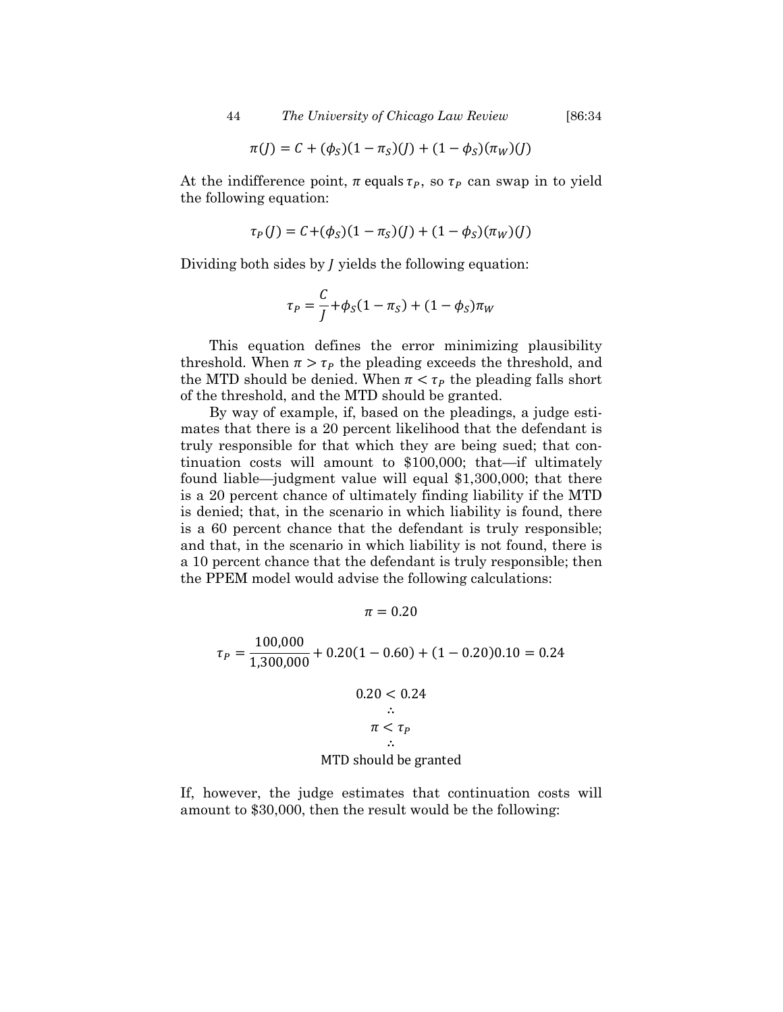$$
\pi(J) = C + (\phi_S)(1 - \pi_S)(J) + (1 - \phi_S)(\pi_W)(J)
$$

At the indifference point,  $\pi$  equals  $\tau_p$ , so  $\tau_p$  can swap in to yield the following equation:

$$
\tau_P(J) = C + (\phi_S)(1 - \pi_S)(J) + (1 - \phi_S)(\pi_W)(J)
$$

Dividing both sides by  *yields the following equation:* 

$$
\tau_P = \frac{C}{J} + \phi_S (1 - \pi_S) + (1 - \phi_S) \pi_W
$$

This equation defines the error minimizing plausibility threshold. When  $\pi > \tau_p$  the pleading exceeds the threshold, and the MTD should be denied. When  $\pi < \tau_p$  the pleading falls short of the threshold, and the MTD should be granted.

By way of example, if, based on the pleadings, a judge estimates that there is a 20 percent likelihood that the defendant is truly responsible for that which they are being sued; that continuation costs will amount to \$100,000; that—if ultimately found liable—judgment value will equal \$1,300,000; that there is a 20 percent chance of ultimately finding liability if the MTD is denied; that, in the scenario in which liability is found, there is a 60 percent chance that the defendant is truly responsible; and that, in the scenario in which liability is not found, there is a 10 percent chance that the defendant is truly responsible; then the PPEM model would advise the following calculations:

 $\pi = 0.20$ 

$$
\tau_P = \frac{100,000}{1,300,000} + 0.20(1 - 0.60) + (1 - 0.20)0.10 = 0.24
$$
  
0.20 < 0.24  

$$
\therefore \pi < \tau_P
$$
  

$$
\therefore
$$
MTD should be granted

If, however, the judge estimates that continuation costs will amount to \$30,000, then the result would be the following: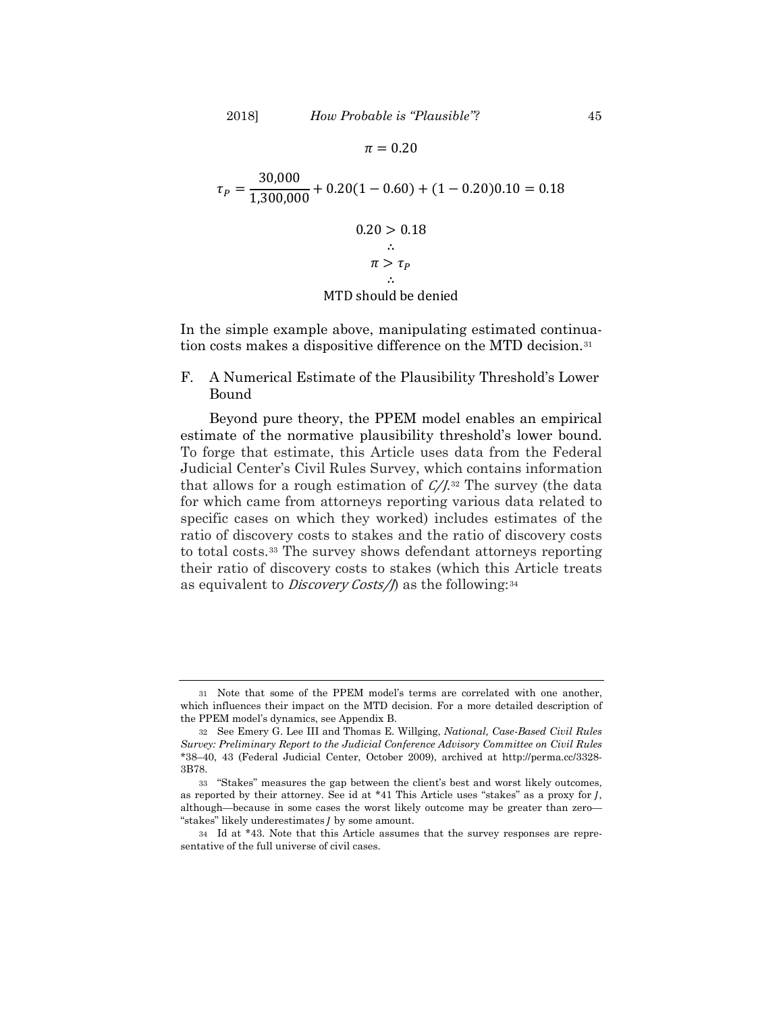$\pi = 0.20$  $\tau_P = \frac{30,000}{1,300,000} + 0.20(1 - 0.60) + (1 - 0.20)0.10 = 0.18$  $0.20 > 0.18$ ∴  $\pi > \tau_P$ ∴

#### <span id="page-11-4"></span>MTD should be denied

In the simple example above, manipulating estimated continuation costs makes a dispositive difference on the MTD decision.[31](#page-11-0)

F. A Numerical Estimate of the Plausibility Threshold's Lower Bound

Beyond pure theory, the PPEM model enables an empirical estimate of the normative plausibility threshold's lower bound. To forge that estimate, this Article uses data from the Federal Judicial Center's Civil Rules Survey, which contains information that allows for a rough estimation of  $C/I^{32}$  $C/I^{32}$  $C/I^{32}$  The survey (the data for which came from attorneys reporting various data related to specific cases on which they worked) includes estimates of the ratio of discovery costs to stakes and the ratio of discovery costs to total costs.[33](#page-11-2) The survey shows defendant attorneys reporting their ratio of discovery costs to stakes (which this Article treats as equivalent to *Discovery Costs/f* as the following:<sup>[34](#page-11-3)</sup>

<span id="page-11-0"></span><sup>31</sup> Note that some of the PPEM model's terms are correlated with one another, which influences their impact on the MTD decision. For a more detailed description of the PPEM model's dynamics, see Appendix B.

<span id="page-11-1"></span><sup>32</sup> See Emery G. Lee III and Thomas E. Willging, *National, Case-Based Civil Rules Survey: Preliminary Report to the Judicial Conference Advisory Committee on Civil Rules* \*38–40, 43 (Federal Judicial Center, October 2009), archived at http://perma.cc/3328- 3B78.

<span id="page-11-2"></span><sup>33</sup> "Stakes" measures the gap between the client's best and worst likely outcomes, as reported by their attorney. See id at \*41 This Article uses "stakes" as a proxy for  $\overline{I}$ , although—because in some cases the worst likely outcome may be greater than zero— "stakes" likely underestimates *l* by some amount.

<span id="page-11-3"></span><sup>34</sup> Id at \*43. Note that this Article assumes that the survey responses are representative of the full universe of civil cases.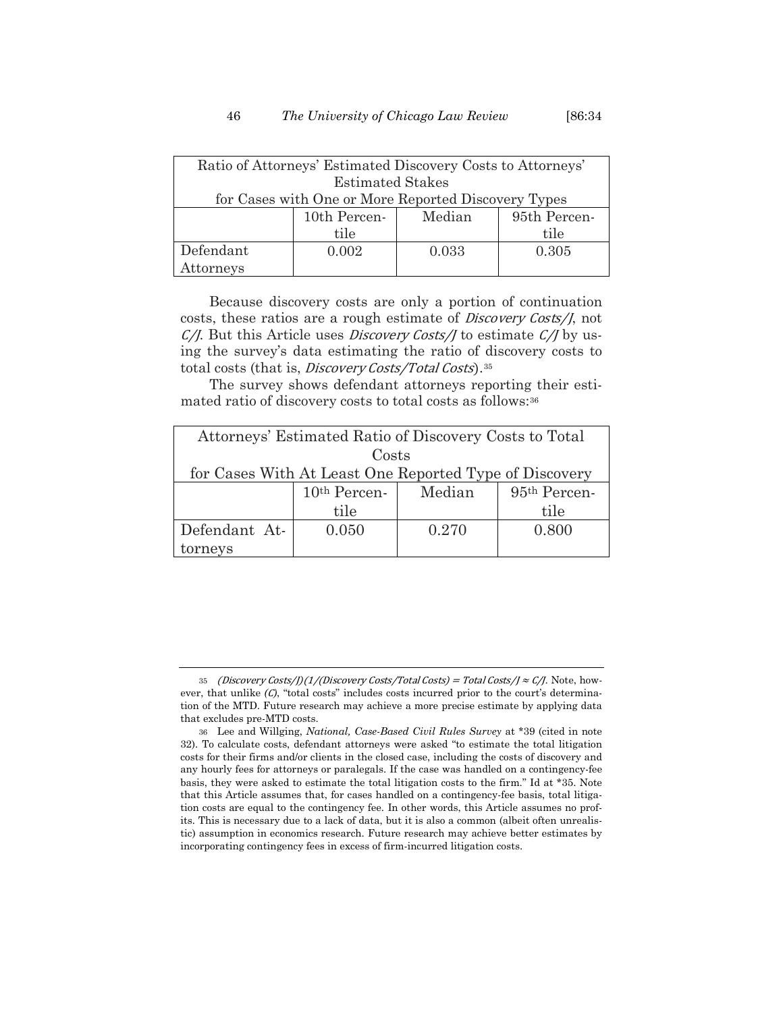| Ratio of Attorneys' Estimated Discovery Costs to Attorneys' |              |        |              |
|-------------------------------------------------------------|--------------|--------|--------------|
| <b>Estimated Stakes</b>                                     |              |        |              |
| for Cases with One or More Reported Discovery Types         |              |        |              |
|                                                             | 10th Percen- | Median | 95th Percen- |
|                                                             | tile         |        | tile         |
| Defendant                                                   | 0.002        | 0.033  | 0.305        |
| Attorneys                                                   |              |        |              |

Because discovery costs are only a portion of continuation costs, these ratios are a rough estimate of Discovery Costs/J, not  $C/I$ . But this Article uses *Discovery Costs/J* to estimate  $C/I$  by using the survey's data estimating the ratio of discovery costs to total costs (that is, Discovery Costs/Total Costs).<sup>35</sup>

The survey shows defendant attorneys reporting their estimated ratio of discovery costs to total costs as follows:[36](#page-12-1)

| Attorneys' Estimated Ratio of Discovery Costs to Total |                          |        |              |
|--------------------------------------------------------|--------------------------|--------|--------------|
| Costs                                                  |                          |        |              |
| for Cases With At Least One Reported Type of Discovery |                          |        |              |
|                                                        | 10 <sup>th</sup> Percen- | Median | 95th Percen- |
|                                                        | tile                     |        | tile         |
| Defendant At-                                          | 0.050                    | 0.270  | 0.800        |
| tornevs                                                |                          |        |              |

<span id="page-12-0"></span><sup>35 (</sup>Discovery Costs/J)(1/(Discovery Costs/Total Costs) = Total Costs/J  $\approx$  C/J. Note, however, that unlike  $(C)$ , "total costs" includes costs incurred prior to the court's determination of the MTD. Future research may achieve a more precise estimate by applying data that excludes pre-MTD costs.

<span id="page-12-1"></span><sup>36</sup> Lee and Willging, *National, Case-Based Civil Rules Survey* at \*39 (cited in note [32\)](#page-11-4). To calculate costs, defendant attorneys were asked "to estimate the total litigation costs for their firms and/or clients in the closed case, including the costs of discovery and any hourly fees for attorneys or paralegals. If the case was handled on a contingency-fee basis, they were asked to estimate the total litigation costs to the firm." Id at \*35. Note that this Article assumes that, for cases handled on a contingency-fee basis, total litigation costs are equal to the contingency fee. In other words, this Article assumes no profits. This is necessary due to a lack of data, but it is also a common (albeit often unrealistic) assumption in economics research. Future research may achieve better estimates by incorporating contingency fees in excess of firm-incurred litigation costs.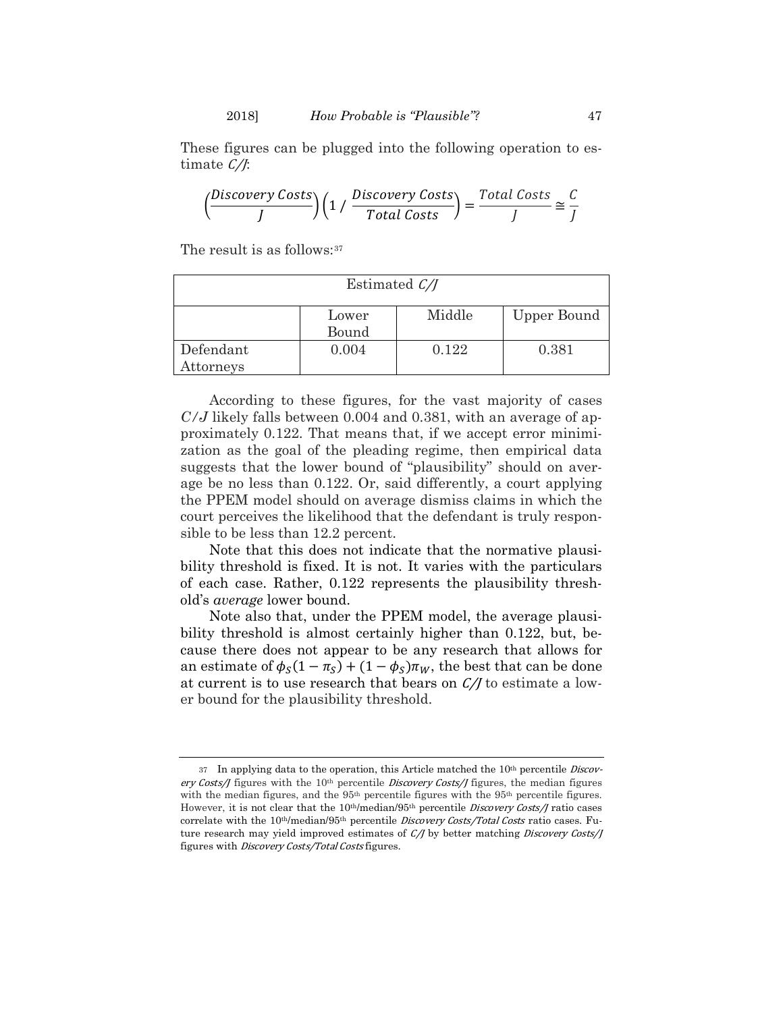These figures can be plugged into the following operation to estimate  $\mathcal{C}/\mathcal{F}$ 

$$
\left(\frac{Discovers \space Costss}{J}\right)\left(1 \;/\; \frac{Discovers \space Costss}{Total \; Costs}\right)=\frac{Total \; Costs}{J}\cong \frac{C}{J}
$$

The result is as follows:<sup>[37](#page-13-0)</sup>

| Estimated $\mathcal{C}/\mathcal{J}$ |                |        |                    |
|-------------------------------------|----------------|--------|--------------------|
|                                     | Lower<br>Bound | Middle | <b>Upper Bound</b> |
| Defendant<br>Attorneys              | 0.004          | 0.122  | 0.381              |

According to these figures, for the vast majority of cases *C/J* likely falls between 0.004 and 0.381, with an average of approximately 0.122. That means that, if we accept error minimization as the goal of the pleading regime, then empirical data suggests that the lower bound of "plausibility" should on average be no less than 0.122. Or, said differently, a court applying the PPEM model should on average dismiss claims in which the court perceives the likelihood that the defendant is truly responsible to be less than 12.2 percent.

Note that this does not indicate that the normative plausibility threshold is fixed. It is not. It varies with the particulars of each case. Rather, 0.122 represents the plausibility threshold's *average* lower bound.

Note also that, under the PPEM model, the average plausibility threshold is almost certainly higher than 0.122, but, because there does not appear to be any research that allows for an estimate of  $\phi_S(1 - \pi_S) + (1 - \phi_S)\pi_W$ , the best that can be done at current is to use research that bears on  $C/J$  to estimate a lower bound for the plausibility threshold.

<span id="page-13-0"></span><sup>37</sup> In applying data to the operation, this Article matched the 10<sup>th</sup> percentile *Discov*ery Costs/J figures with the 10<sup>th</sup> percentile *Discovery Costs*/J figures, the median figures with the median figures, and the  $95<sup>th</sup>$  percentile figures with the  $95<sup>th</sup>$  percentile figures. However, it is not clear that the 10<sup>th</sup>/median/95<sup>th</sup> percentile *Discovery Costs/J* ratio cases correlate with the 10<sup>th</sup>/median/95<sup>th</sup> percentile *Discovery Costs/Total Costs* ratio cases. Future research may yield improved estimates of C/J by better matching *Discovery Costs*/J figures with Discovery Costs/Total Costs figures.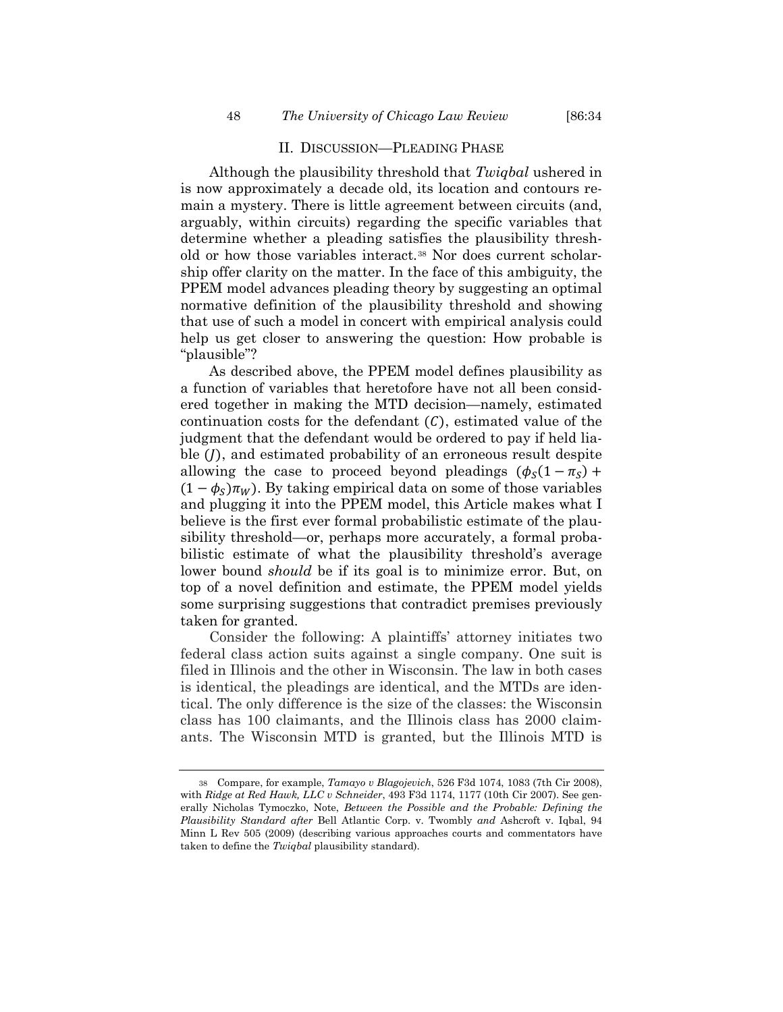#### <span id="page-14-1"></span>II. DISCUSSION—PLEADING PHASE

Although the plausibility threshold that *Twiqbal* ushered in is now approximately a decade old, its location and contours remain a mystery. There is little agreement between circuits (and, arguably, within circuits) regarding the specific variables that determine whether a pleading satisfies the plausibility threshold or how those variables interact.[38](#page-14-0) Nor does current scholarship offer clarity on the matter. In the face of this ambiguity, the PPEM model advances pleading theory by suggesting an optimal normative definition of the plausibility threshold and showing that use of such a model in concert with empirical analysis could help us get closer to answering the question: How probable is "plausible"?

As described above, the PPEM model defines plausibility as a function of variables that heretofore have not all been considered together in making the MTD decision—namely, estimated continuation costs for the defendant  $(C)$ , estimated value of the judgment that the defendant would be ordered to pay if held liable  $($ , and estimated probability of an erroneous result despite allowing the case to proceed beyond pleadings  $(\phi_s(1 - \pi_s) +$  $(1 - \phi_s)\pi_w$ ). By taking empirical data on some of those variables and plugging it into the PPEM model, this Article makes what I believe is the first ever formal probabilistic estimate of the plausibility threshold—or, perhaps more accurately, a formal probabilistic estimate of what the plausibility threshold's average lower bound *should* be if its goal is to minimize error. But, on top of a novel definition and estimate, the PPEM model yields some surprising suggestions that contradict premises previously taken for granted.

Consider the following: A plaintiffs' attorney initiates two federal class action suits against a single company. One suit is filed in Illinois and the other in Wisconsin. The law in both cases is identical, the pleadings are identical, and the MTDs are identical. The only difference is the size of the classes: the Wisconsin class has 100 claimants, and the Illinois class has 2000 claimants. The Wisconsin MTD is granted, but the Illinois MTD is

<span id="page-14-0"></span><sup>38</sup> Compare, for example, *Tamayo v Blagojevich*, 526 F3d 1074, 1083 (7th Cir 2008), with *Ridge at Red Hawk, LLC v Schneider*, 493 F3d 1174, 1177 (10th Cir 2007). See generally Nicholas Tymoczko, Note, *Between the Possible and the Probable: Defining the Plausibility Standard after* Bell Atlantic Corp. v. Twombly *and* Ashcroft v. Iqbal, 94 Minn L Rev 505 (2009) (describing various approaches courts and commentators have taken to define the *Twiqbal* plausibility standard).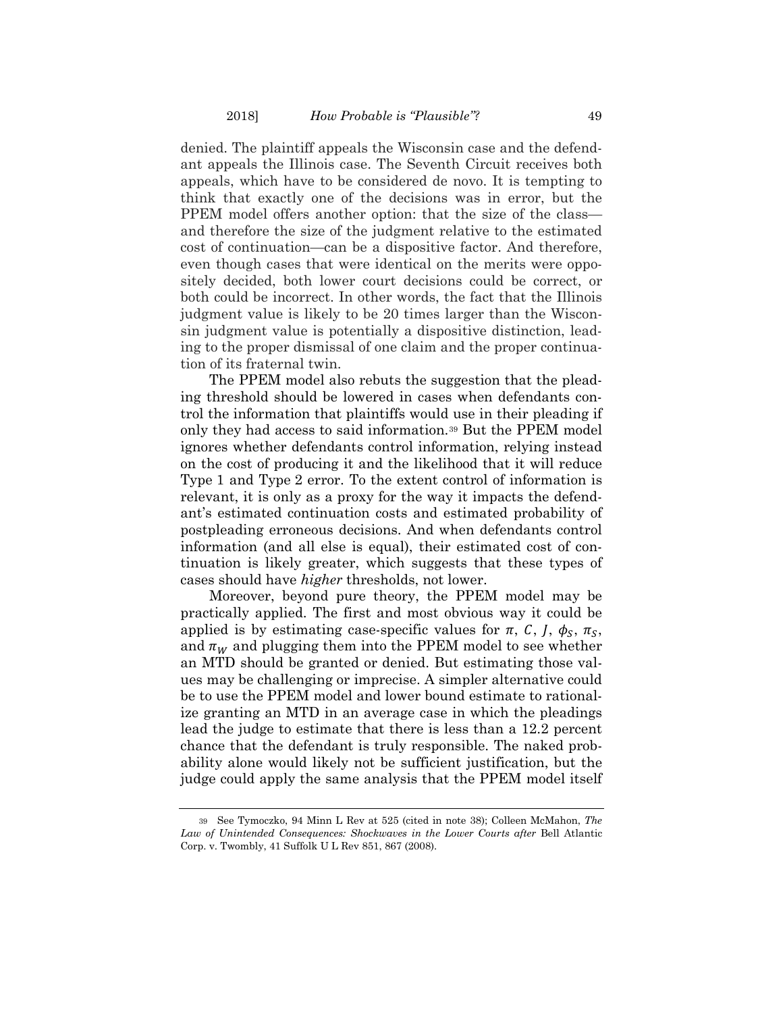denied. The plaintiff appeals the Wisconsin case and the defendant appeals the Illinois case. The Seventh Circuit receives both appeals, which have to be considered de novo. It is tempting to think that exactly one of the decisions was in error, but the PPEM model offers another option: that the size of the class and therefore the size of the judgment relative to the estimated cost of continuation—can be a dispositive factor. And therefore, even though cases that were identical on the merits were oppositely decided, both lower court decisions could be correct, or both could be incorrect. In other words, the fact that the Illinois judgment value is likely to be 20 times larger than the Wisconsin judgment value is potentially a dispositive distinction, leading to the proper dismissal of one claim and the proper continuation of its fraternal twin.

The PPEM model also rebuts the suggestion that the pleading threshold should be lowered in cases when defendants control the information that plaintiffs would use in their pleading if only they had access to said information.[39](#page-15-0) But the PPEM model ignores whether defendants control information, relying instead on the cost of producing it and the likelihood that it will reduce Type 1 and Type 2 error. To the extent control of information is relevant, it is only as a proxy for the way it impacts the defendant's estimated continuation costs and estimated probability of postpleading erroneous decisions. And when defendants control information (and all else is equal), their estimated cost of continuation is likely greater, which suggests that these types of cases should have *higher* thresholds, not lower.

Moreover, beyond pure theory, the PPEM model may be practically applied. The first and most obvious way it could be applied is by estimating case-specific values for  $\pi$ , C, J,  $\phi_s$ ,  $\pi_s$ , and  $\pi_W$  and plugging them into the PPEM model to see whether an MTD should be granted or denied. But estimating those values may be challenging or imprecise. A simpler alternative could be to use the PPEM model and lower bound estimate to rationalize granting an MTD in an average case in which the pleadings lead the judge to estimate that there is less than a 12.2 percent chance that the defendant is truly responsible. The naked probability alone would likely not be sufficient justification, but the judge could apply the same analysis that the PPEM model itself

<span id="page-15-0"></span><sup>39</sup> See Tymoczko, 94 Minn L Rev at 525 (cited in note [38\)](#page-14-1); Colleen McMahon, *The Law of Unintended Consequences: Shockwaves in the Lower Courts after* Bell Atlantic Corp. v. Twombly, 41 Suffolk U L Rev 851, 867 (2008).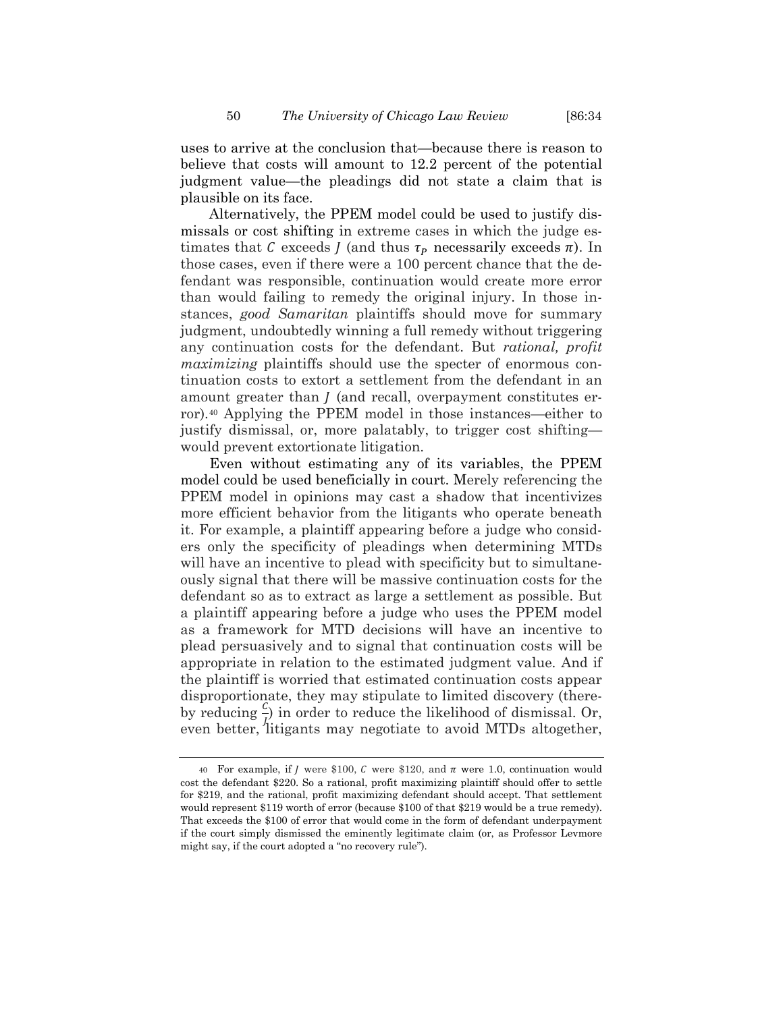uses to arrive at the conclusion that—because there is reason to believe that costs will amount to 12.2 percent of the potential judgment value—the pleadings did not state a claim that is plausible on its face.

Alternatively, the PPEM model could be used to justify dismissals or cost shifting in extreme cases in which the judge estimates that C exceeds *J* (and thus  $\tau_p$  necessarily exceeds  $\pi$ ). In those cases, even if there were a 100 percent chance that the defendant was responsible, continuation would create more error than would failing to remedy the original injury. In those instances, *good Samaritan* plaintiffs should move for summary judgment, undoubtedly winning a full remedy without triggering any continuation costs for the defendant. But *rational, profit maximizing* plaintiffs should use the specter of enormous continuation costs to extort a settlement from the defendant in an amount greater than  *(and recall, overpayment constitutes er*ror).[40](#page-16-0) Applying the PPEM model in those instances—either to justify dismissal, or, more palatably, to trigger cost shifting would prevent extortionate litigation.

Even without estimating any of its variables, the PPEM model could be used beneficially in court. Merely referencing the PPEM model in opinions may cast a shadow that incentivizes more efficient behavior from the litigants who operate beneath it. For example, a plaintiff appearing before a judge who considers only the specificity of pleadings when determining MTDs will have an incentive to plead with specificity but to simultaneously signal that there will be massive continuation costs for the defendant so as to extract as large a settlement as possible. But a plaintiff appearing before a judge who uses the PPEM model as a framework for MTD decisions will have an incentive to plead persuasively and to signal that continuation costs will be appropriate in relation to the estimated judgment value. And if the plaintiff is worried that estimated continuation costs appear disproportionate, they may stipulate to limited discovery (thereby reducing  $\frac{c}{l}$  in order to reduce the likelihood of dismissal. Or, even better, litigants may negotiate to avoid MTDs altogether,

<span id="page-16-0"></span><sup>40</sup> For example, if *J* were \$100, *C* were \$120, and  $\pi$  were 1.0, continuation would cost the defendant \$220. So a rational, profit maximizing plaintiff should offer to settle for \$219, and the rational, profit maximizing defendant should accept. That settlement would represent \$119 worth of error (because \$100 of that \$219 would be a true remedy). That exceeds the \$100 of error that would come in the form of defendant underpayment if the court simply dismissed the eminently legitimate claim (or, as Professor Levmore might say, if the court adopted a "no recovery rule").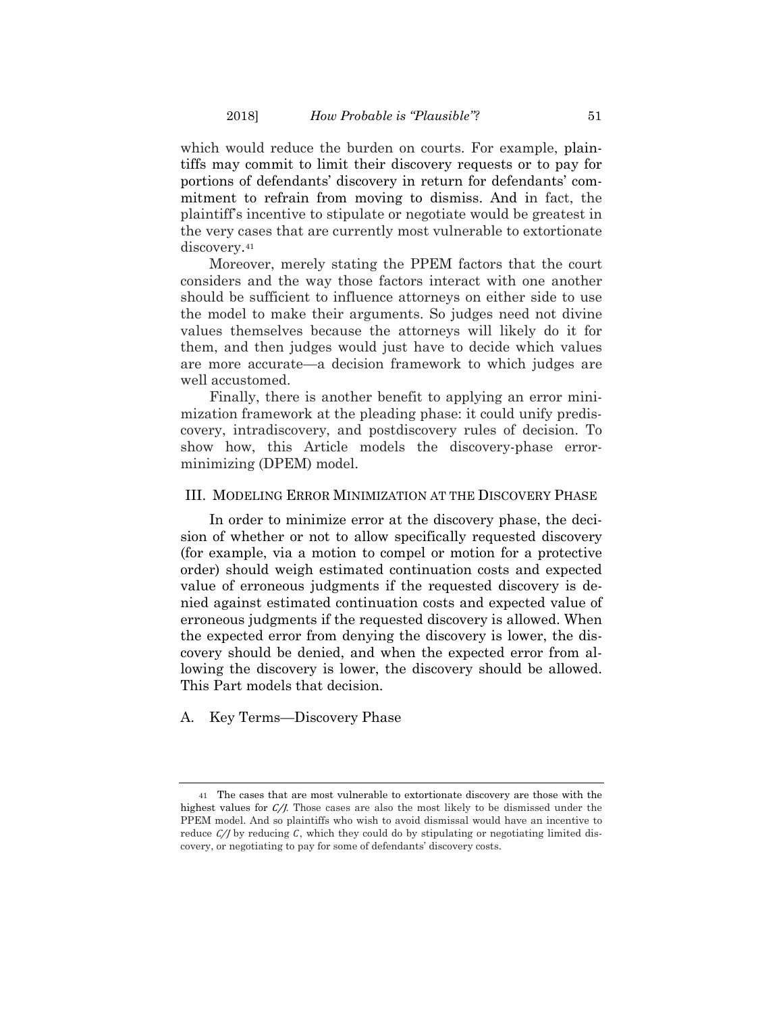which would reduce the burden on courts. For example, plaintiffs may commit to limit their discovery requests or to pay for portions of defendants' discovery in return for defendants' commitment to refrain from moving to dismiss. And in fact, the plaintiff's incentive to stipulate or negotiate would be greatest in the very cases that are currently most vulnerable to extortionate discovery.<sup>[41](#page-17-0)</sup>

Moreover, merely stating the PPEM factors that the court considers and the way those factors interact with one another should be sufficient to influence attorneys on either side to use the model to make their arguments. So judges need not divine values themselves because the attorneys will likely do it for them, and then judges would just have to decide which values are more accurate—a decision framework to which judges are well accustomed.

Finally, there is another benefit to applying an error minimization framework at the pleading phase: it could unify prediscovery, intradiscovery, and postdiscovery rules of decision. To show how, this Article models the discovery-phase errorminimizing (DPEM) model.

#### III. MODELING ERROR MINIMIZATION AT THE DISCOVERY PHASE

In order to minimize error at the discovery phase, the decision of whether or not to allow specifically requested discovery (for example, via a motion to compel or motion for a protective order) should weigh estimated continuation costs and expected value of erroneous judgments if the requested discovery is denied against estimated continuation costs and expected value of erroneous judgments if the requested discovery is allowed. When the expected error from denying the discovery is lower, the discovery should be denied, and when the expected error from allowing the discovery is lower, the discovery should be allowed. This Part models that decision.

#### A. Key Terms—Discovery Phase

<span id="page-17-0"></span><sup>41</sup> The cases that are most vulnerable to extortionate discovery are those with the highest values for C/J. Those cases are also the most likely to be dismissed under the PPEM model. And so plaintiffs who wish to avoid dismissal would have an incentive to reduce  $\mathcal{C}/\mathcal{D}$  by reducing C, which they could do by stipulating or negotiating limited discovery, or negotiating to pay for some of defendants' discovery costs.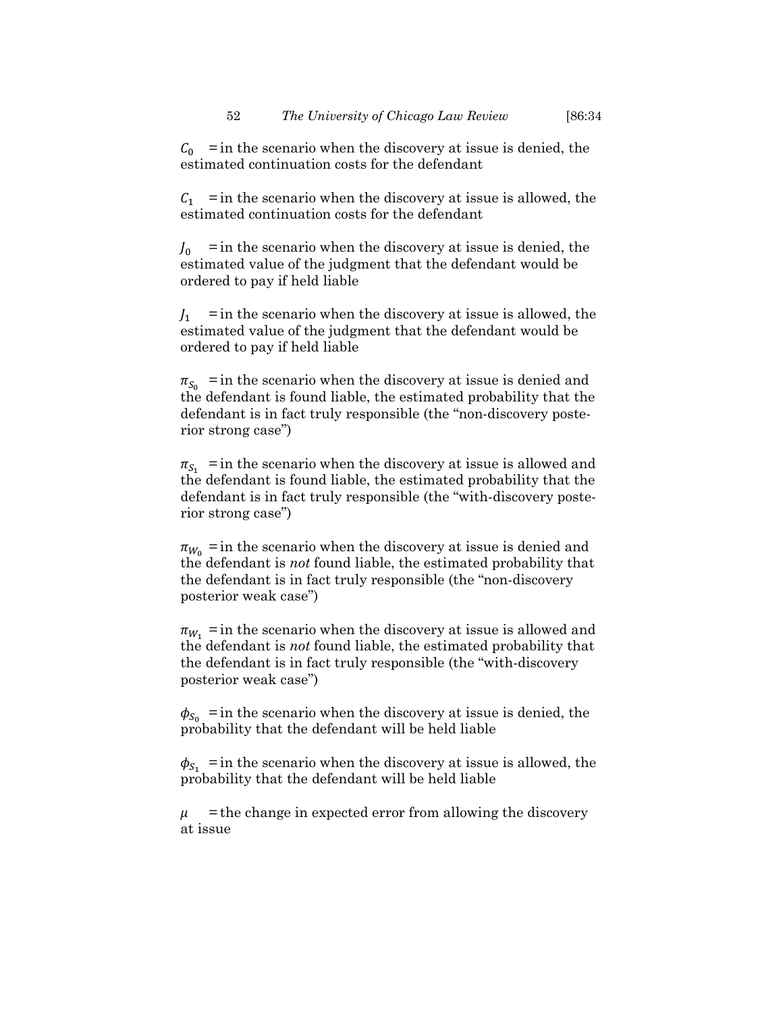$C_0$  = in the scenario when the discovery at issue is denied, the estimated continuation costs for the defendant

 $C_1$  = in the scenario when the discovery at issue is allowed, the estimated continuation costs for the defendant

 $J_0$  = in the scenario when the discovery at issue is denied, the estimated value of the judgment that the defendant would be ordered to pay if held liable

 $J_1$  = in the scenario when the discovery at issue is allowed, the estimated value of the judgment that the defendant would be ordered to pay if held liable

 $\pi_{S_0}$  = in the scenario when the discovery at issue is denied and the defendant is found liable, the estimated probability that the defendant is in fact truly responsible (the "non-discovery posterior strong case")

 $\pi_{S_1}$  = in the scenario when the discovery at issue is allowed and the defendant is found liable, the estimated probability that the defendant is in fact truly responsible (the "with-discovery posterior strong case")

 $\pi_{W_0}$  = in the scenario when the discovery at issue is denied and the defendant is *not* found liable, the estimated probability that the defendant is in fact truly responsible (the "non-discovery posterior weak case")

 $\pi_{W_1}$  = in the scenario when the discovery at issue is allowed and the defendant is *not* found liable, the estimated probability that the defendant is in fact truly responsible (the "with-discovery posterior weak case")

 $\phi_{S_0}$  = in the scenario when the discovery at issue is denied, the probability that the defendant will be held liable

 $\phi_{S_1}$  = in the scenario when the discovery at issue is allowed, the probability that the defendant will be held liable

 $\mu$  = the change in expected error from allowing the discovery at issue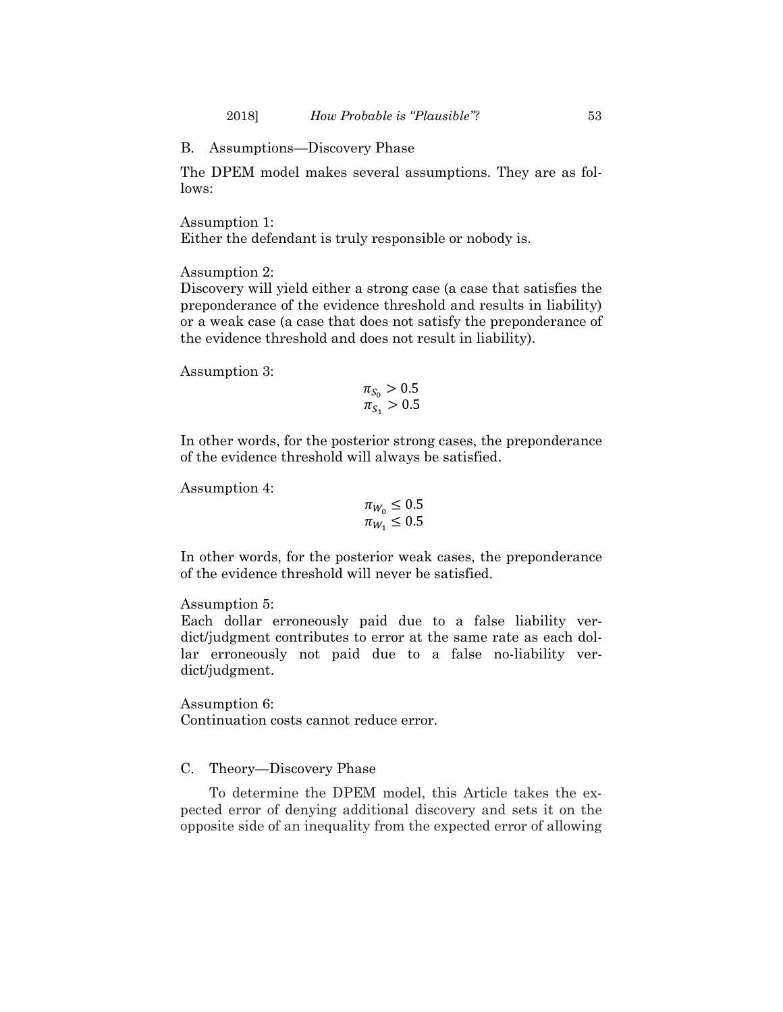B. Assumptions—Discovery Phase

The DPEM model makes several assumptions. They are as follows:

Assumption 1:

Either the defendant is truly responsible or nobody is.

Assumption 2:

Discovery will yield either a strong case (a case that satisfies the preponderance of the evidence threshold and results in liability) or a weak case (a case that does not satisfy the preponderance of the evidence threshold and does not result in liability).

Assumption 3:

$$
\begin{array}{l} \pi_{S_0} > 0.5\\ \pi_{S_1} > 0.5 \end{array}
$$

In other words, for the posterior strong cases, the preponderance of the evidence threshold will always be satisfied.

Assumption 4:

$$
\pi_{W_0} \leq 0.5
$$
  

$$
\pi_{W_1} \leq 0.5
$$

In other words, for the posterior weak cases, the preponderance of the evidence threshold will never be satisfied.

# Assumption 5:

Each dollar erroneously paid due to a false liability verdict/judgment contributes to error at the same rate as each dollar erroneously not paid due to a false no-liability verdict/judgment.

Assumption 6: Continuation costs cannot reduce error.

# C. Theory—Discovery Phase

To determine the DPEM model, this Article takes the expected error of denying additional discovery and sets it on the opposite side of an inequality from the expected error of allowing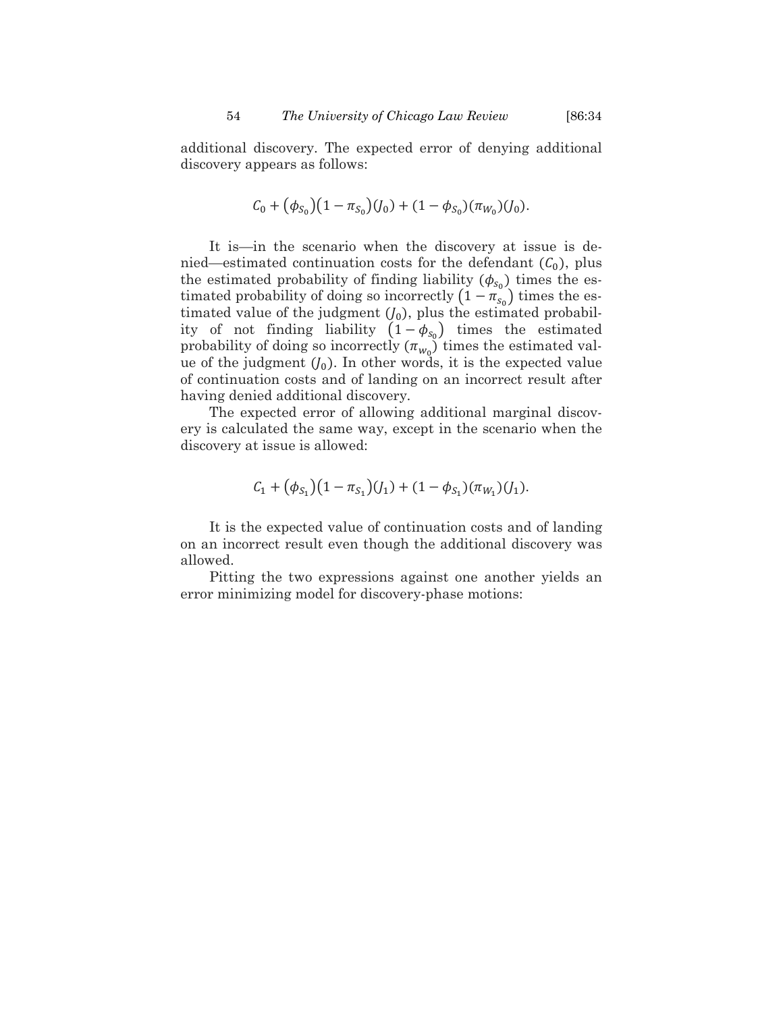additional discovery. The expected error of denying additional discovery appears as follows:

$$
C_0 + (\phi_{S_0})(1 - \pi_{S_0})(J_0) + (1 - \phi_{S_0})(\pi_{W_0})(J_0).
$$

It is—in the scenario when the discovery at issue is denied—estimated continuation costs for the defendant  $(C_0)$ , plus the estimated probability of finding liability  $(\phi_{s_0})$  times the estimated probability of doing so incorrectly  $(1 - \pi_{s_0})$  times the estimated value of the judgment  $(J_0)$ , plus the estimated probability of not finding liability  $(1 - \phi_{s_0})$  times the estimated probability of doing so incorrectly  $(\pi_{w_0})$  times the estimated value of the judgment  $(J_0)$ . In other words, it is the expected value of continuation costs and of landing on an incorrect result after having denied additional discovery.

The expected error of allowing additional marginal discovery is calculated the same way, except in the scenario when the discovery at issue is allowed:

$$
C_1 + (\phi_{S_1})(1 - \pi_{S_1})(J_1) + (1 - \phi_{S_1})(\pi_{W_1})(J_1).
$$

It is the expected value of continuation costs and of landing on an incorrect result even though the additional discovery was allowed.

Pitting the two expressions against one another yields an error minimizing model for discovery-phase motions: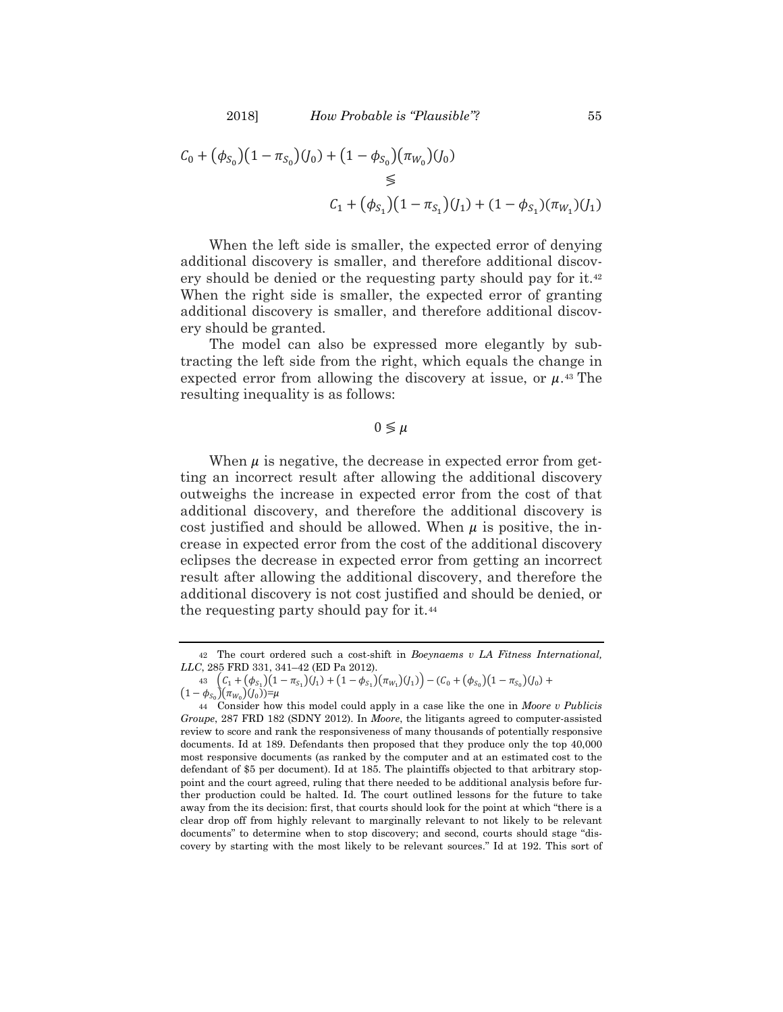$$
C_0 + (\phi_{S_0})(1 - \pi_{S_0})(J_0) + (1 - \phi_{S_0})(\pi_{W_0})(J_0)
$$
  
\n
$$
\leq
$$
  
\n
$$
C_1 + (\phi_{S_1})(1 - \pi_{S_1})(J_1) + (1 - \phi_{S_1})(\pi_{W_1})(J_1)
$$

When the left side is smaller, the expected error of denying additional discovery is smaller, and therefore additional discovery should be denied or the requesting party should pay for it.[42](#page-21-0) When the right side is smaller, the expected error of granting additional discovery is smaller, and therefore additional discovery should be granted.

The model can also be expressed more elegantly by subtracting the left side from the right, which equals the change in expected error from allowing the discovery at issue, or  $\mu$ .<sup>[43](#page-21-1)</sup> The resulting inequality is as follows:

# $0 \leq \mu$

When  $\mu$  is negative, the decrease in expected error from getting an incorrect result after allowing the additional discovery outweighs the increase in expected error from the cost of that additional discovery, and therefore the additional discovery is cost justified and should be allowed. When  $\mu$  is positive, the increase in expected error from the cost of the additional discovery eclipses the decrease in expected error from getting an incorrect result after allowing the additional discovery, and therefore the additional discovery is not cost justified and should be denied, or the requesting party should pay for it.<sup>[44](#page-21-2)</sup>

<span id="page-21-0"></span><sup>42</sup> The court ordered such a cost-shift in *Boeynaems v LA Fitness International, LLC*, 285 FRD 331, 341–42 (ED Pa 2012).

 $43 \left( \zeta_1 + (\phi_{S_1})(1 - \pi_{S_1})(J_1) + (1 - \phi_{S_1})(\pi_{W_1})(J_1) \right) - (\zeta_0 + (\phi_{S_0})(1 - \pi_{S_0})(J_0) +$ 

 $(1 - \phi_{S_0})(\pi_{W_0})(J_0)) = \mu$ 

<span id="page-21-2"></span><span id="page-21-1"></span><sup>44</sup> Consider how this model could apply in a case like the one in *Moore v Publicis Groupe*, 287 FRD 182 (SDNY 2012). In *Moore*, the litigants agreed to computer-assisted review to score and rank the responsiveness of many thousands of potentially responsive documents. Id at 189. Defendants then proposed that they produce only the top 40,000 most responsive documents (as ranked by the computer and at an estimated cost to the defendant of \$5 per document). Id at 185. The plaintiffs objected to that arbitrary stoppoint and the court agreed, ruling that there needed to be additional analysis before further production could be halted. Id. The court outlined lessons for the future to take away from the its decision: first, that courts should look for the point at which "there is a clear drop off from highly relevant to marginally relevant to not likely to be relevant documents" to determine when to stop discovery; and second, courts should stage "discovery by starting with the most likely to be relevant sources." Id at 192. This sort of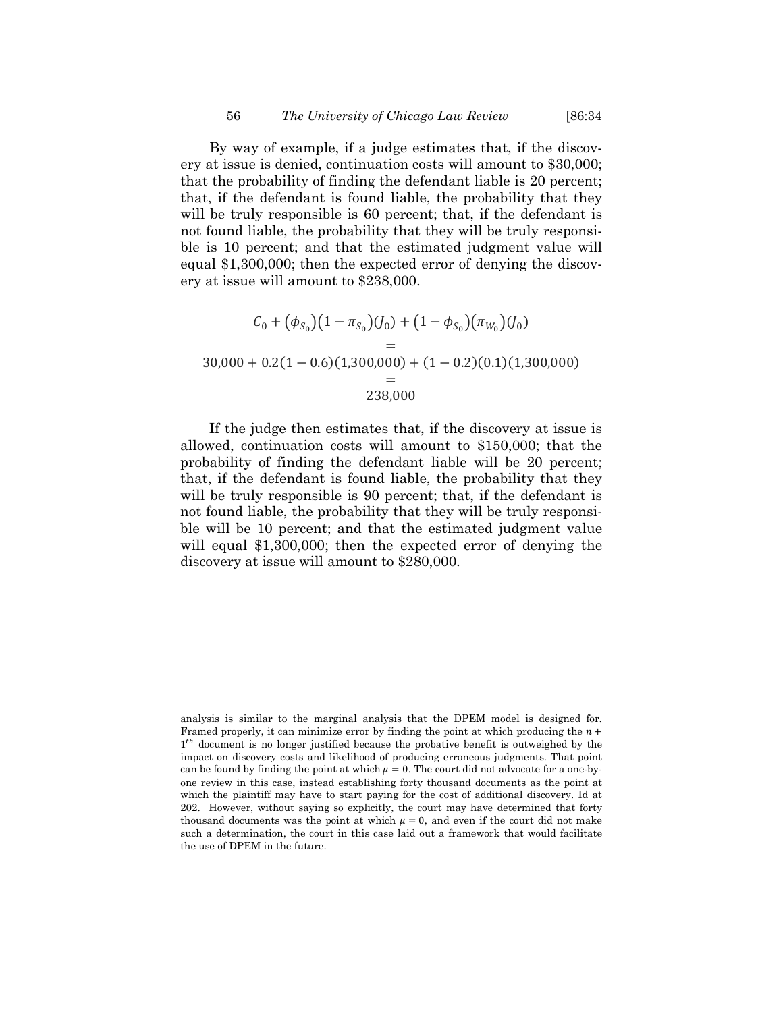By way of example, if a judge estimates that, if the discovery at issue is denied, continuation costs will amount to \$30,000; that the probability of finding the defendant liable is 20 percent; that, if the defendant is found liable, the probability that they will be truly responsible is 60 percent; that, if the defendant is not found liable, the probability that they will be truly responsible is 10 percent; and that the estimated judgment value will equal \$1,300,000; then the expected error of denying the discovery at issue will amount to \$238,000.

$$
C_0 + (\phi_{S_0})(1 - \pi_{S_0})(J_0) + (1 - \phi_{S_0})(\pi_{W_0})(J_0)
$$
  
=  
30,000 + 0.2(1 - 0.6)(1,300,000) + (1 - 0.2)(0.1)(1,300,000)  
=  
238,000

If the judge then estimates that, if the discovery at issue is allowed, continuation costs will amount to \$150,000; that the probability of finding the defendant liable will be 20 percent; that, if the defendant is found liable, the probability that they will be truly responsible is 90 percent; that, if the defendant is not found liable, the probability that they will be truly responsible will be 10 percent; and that the estimated judgment value will equal \$1,300,000; then the expected error of denying the discovery at issue will amount to \$280,000.

analysis is similar to the marginal analysis that the DPEM model is designed for. Framed properly, it can minimize error by finding the point at which producing the  $n +$  $1<sup>th</sup>$  document is no longer justified because the probative benefit is outweighed by the impact on discovery costs and likelihood of producing erroneous judgments. That point can be found by finding the point at which  $\mu = 0$ . The court did not advocate for a one-byone review in this case, instead establishing forty thousand documents as the point at which the plaintiff may have to start paying for the cost of additional discovery. Id at 202. However, without saying so explicitly, the court may have determined that forty thousand documents was the point at which  $\mu = 0$ , and even if the court did not make such a determination, the court in this case laid out a framework that would facilitate the use of DPEM in the future.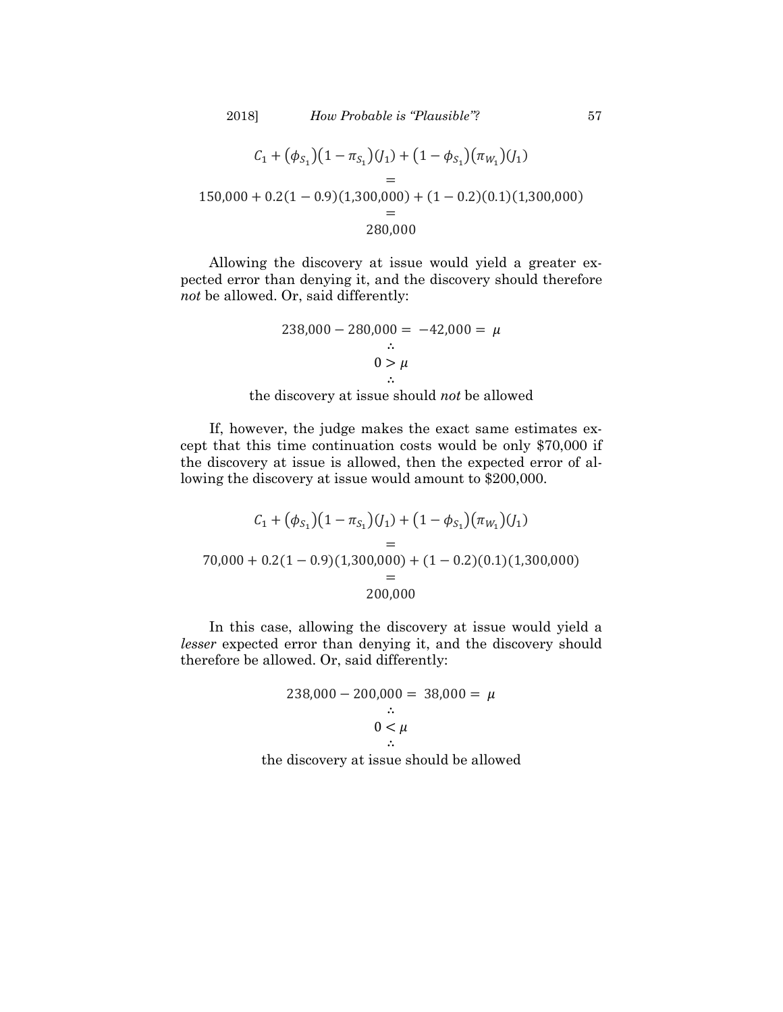$$
C_1 + (\phi_{S_1})(1 - \pi_{S_1})(J_1) + (1 - \phi_{S_1})(\pi_{W_1})(J_1)
$$
  
=  
150,000 + 0.2(1 - 0.9)(1,300,000) + (1 - 0.2)(0.1)(1,300,000)  
=  
280,000

Allowing the discovery at issue would yield a greater expected error than denying it, and the discovery should therefore *not* be allowed. Or, said differently:

$$
238,000 - 280,000 = -42,000 = \mu
$$
  

$$
\therefore
$$
  

$$
0 > \mu
$$
  

$$
\therefore
$$

the discovery at issue should *not* be allowed

If, however, the judge makes the exact same estimates except that this time continuation costs would be only \$70,000 if the discovery at issue is allowed, then the expected error of allowing the discovery at issue would amount to \$200,000.

$$
C_1 + (\phi_{S_1})(1 - \pi_{S_1})(J_1) + (1 - \phi_{S_1})(\pi_{W_1})(J_1)
$$
  
=  
70,000 + 0.2(1 - 0.9)(1,300,000) + (1 - 0.2)(0.1)(1,300,000)  
=  
200,000

In this case, allowing the discovery at issue would yield a *lesser* expected error than denying it, and the discovery should therefore be allowed. Or, said differently:

$$
238,000 - 200,000 = 38,000 = \mu
$$
  
 
$$
\therefore
$$
  
 
$$
0 < \mu
$$
  
 
$$
\therefore
$$

the discovery at issue should be allowed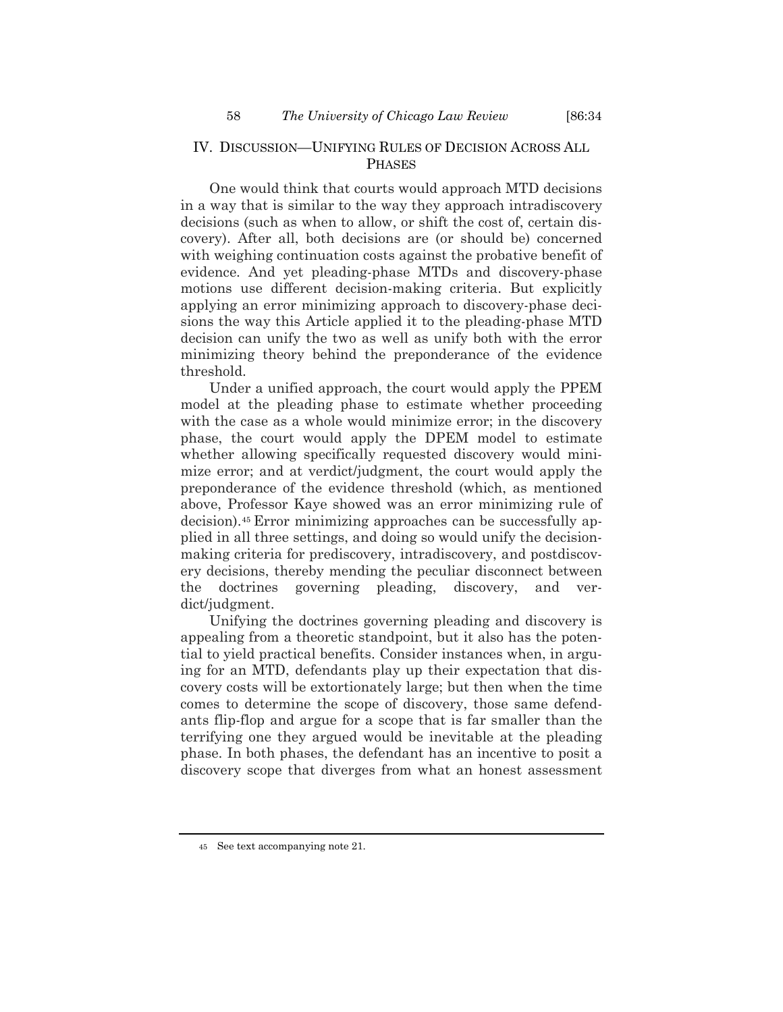# IV. DISCUSSION—UNIFYING RULES OF DECISION ACROSS ALL PHASES

One would think that courts would approach MTD decisions in a way that is similar to the way they approach intradiscovery decisions (such as when to allow, or shift the cost of, certain discovery). After all, both decisions are (or should be) concerned with weighing continuation costs against the probative benefit of evidence. And yet pleading-phase MTDs and discovery-phase motions use different decision-making criteria. But explicitly applying an error minimizing approach to discovery-phase decisions the way this Article applied it to the pleading-phase MTD decision can unify the two as well as unify both with the error minimizing theory behind the preponderance of the evidence threshold.

Under a unified approach, the court would apply the PPEM model at the pleading phase to estimate whether proceeding with the case as a whole would minimize error; in the discovery phase, the court would apply the DPEM model to estimate whether allowing specifically requested discovery would minimize error; and at verdict/judgment, the court would apply the preponderance of the evidence threshold (which, as mentioned above, Professor Kaye showed was an error minimizing rule of decision).[45](#page-24-0) Error minimizing approaches can be successfully applied in all three settings, and doing so would unify the decisionmaking criteria for prediscovery, intradiscovery, and postdiscovery decisions, thereby mending the peculiar disconnect between the doctrines governing pleading, discovery, and verdict/judgment.

Unifying the doctrines governing pleading and discovery is appealing from a theoretic standpoint, but it also has the potential to yield practical benefits. Consider instances when, in arguing for an MTD, defendants play up their expectation that discovery costs will be extortionately large; but then when the time comes to determine the scope of discovery, those same defendants flip-flop and argue for a scope that is far smaller than the terrifying one they argued would be inevitable at the pleading phase. In both phases, the defendant has an incentive to posit a discovery scope that diverges from what an honest assessment

<span id="page-24-0"></span><sup>45</sup> See text accompanying note [21.](#page-5-3)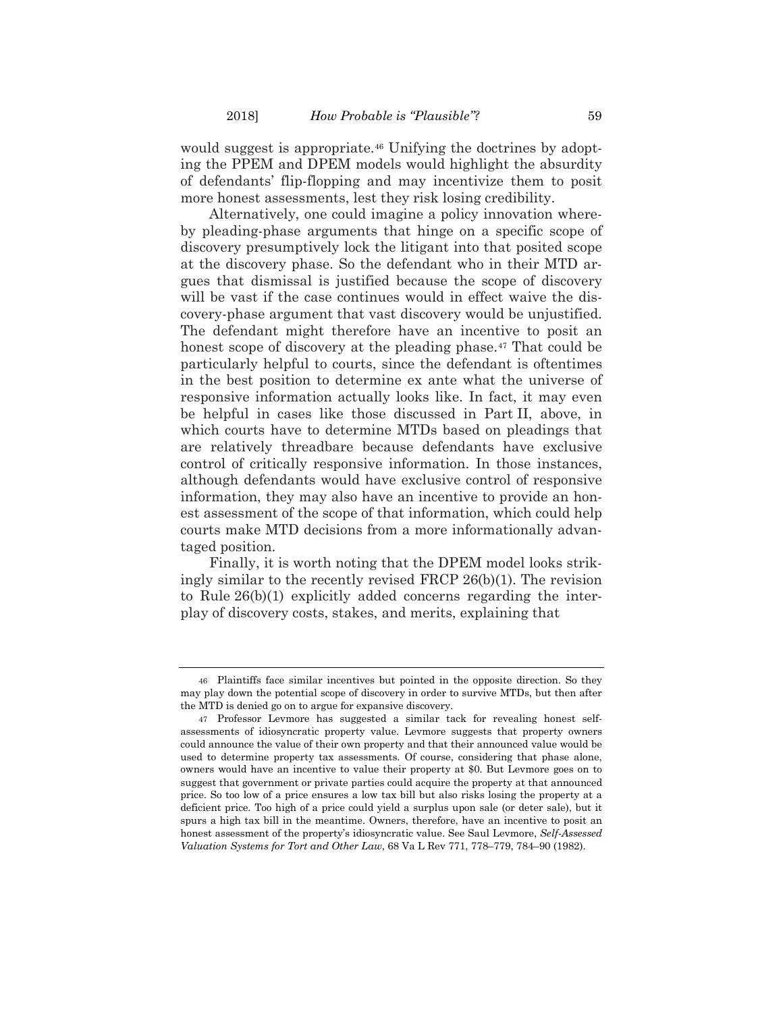would suggest is appropriate.<sup>[46](#page-25-0)</sup> Unifying the doctrines by adopting the PPEM and DPEM models would highlight the absurdity of defendants' flip-flopping and may incentivize them to posit more honest assessments, lest they risk losing credibility.

Alternatively, one could imagine a policy innovation whereby pleading-phase arguments that hinge on a specific scope of discovery presumptively lock the litigant into that posited scope at the discovery phase. So the defendant who in their MTD argues that dismissal is justified because the scope of discovery will be vast if the case continues would in effect waive the discovery-phase argument that vast discovery would be unjustified. The defendant might therefore have an incentive to posit an honest scope of discovery at the pleading phase.<sup>[47](#page-25-1)</sup> That could be particularly helpful to courts, since the defendant is oftentimes in the best position to determine ex ante what the universe of responsive information actually looks like. In fact, it may even be helpful in cases like those discussed in Part II, above, in which courts have to determine MTDs based on pleadings that are relatively threadbare because defendants have exclusive control of critically responsive information. In those instances, although defendants would have exclusive control of responsive information, they may also have an incentive to provide an honest assessment of the scope of that information, which could help courts make MTD decisions from a more informationally advantaged position.

Finally, it is worth noting that the DPEM model looks strikingly similar to the recently revised FRCP 26(b)(1). The revision to Rule 26(b)(1) explicitly added concerns regarding the interplay of discovery costs, stakes, and merits, explaining that

<span id="page-25-0"></span><sup>46</sup> Plaintiffs face similar incentives but pointed in the opposite direction. So they may play down the potential scope of discovery in order to survive MTDs, but then after the MTD is denied go on to argue for expansive discovery.

<span id="page-25-1"></span><sup>47</sup> Professor Levmore has suggested a similar tack for revealing honest selfassessments of idiosyncratic property value. Levmore suggests that property owners could announce the value of their own property and that their announced value would be used to determine property tax assessments. Of course, considering that phase alone, owners would have an incentive to value their property at \$0. But Levmore goes on to suggest that government or private parties could acquire the property at that announced price. So too low of a price ensures a low tax bill but also risks losing the property at a deficient price. Too high of a price could yield a surplus upon sale (or deter sale), but it spurs a high tax bill in the meantime. Owners, therefore, have an incentive to posit an honest assessment of the property's idiosyncratic value. See Saul Levmore, *Self-Assessed Valuation Systems for Tort and Other Law*, 68 Va L Rev 771, 778–779, 784–90 (1982).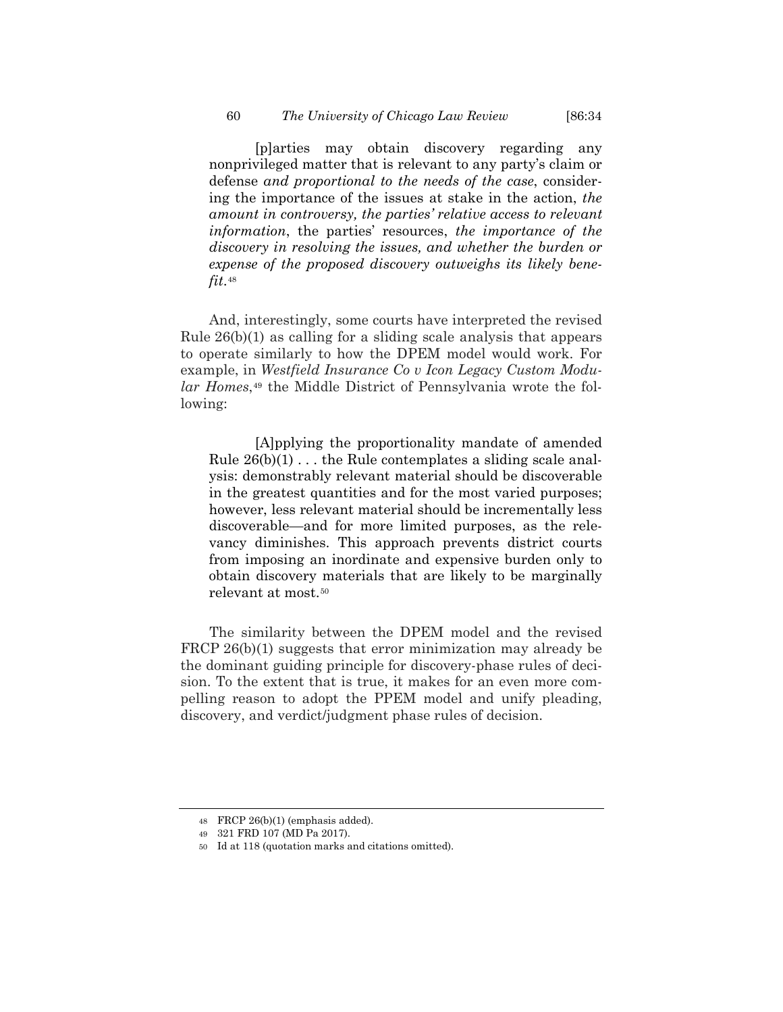[p]arties may obtain discovery regarding any nonprivileged matter that is relevant to any party's claim or defense *and proportional to the needs of the case*, considering the importance of the issues at stake in the action, *the amount in controversy, the parties' relative access to relevant information*, the parties' resources, *the importance of the discovery in resolving the issues, and whether the burden or expense of the proposed discovery outweighs its likely benefit*.[48](#page-26-0)

And, interestingly, some courts have interpreted the revised Rule 26(b)(1) as calling for a sliding scale analysis that appears to operate similarly to how the DPEM model would work. For example, in *Westfield Insurance Co v Icon Legacy Custom Modular Homes*,[49](#page-26-1) the Middle District of Pennsylvania wrote the following:

[A]pplying the proportionality mandate of amended Rule  $26(b)(1)$ ... the Rule contemplates a sliding scale analysis: demonstrably relevant material should be discoverable in the greatest quantities and for the most varied purposes; however, less relevant material should be incrementally less discoverable—and for more limited purposes, as the relevancy diminishes. This approach prevents district courts from imposing an inordinate and expensive burden only to obtain discovery materials that are likely to be marginally relevant at most.[50](#page-26-2)

The similarity between the DPEM model and the revised FRCP 26(b)(1) suggests that error minimization may already be the dominant guiding principle for discovery-phase rules of decision. To the extent that is true, it makes for an even more compelling reason to adopt the PPEM model and unify pleading, discovery, and verdict/judgment phase rules of decision.

<span id="page-26-0"></span><sup>48</sup> FRCP 26(b)(1) (emphasis added).

<span id="page-26-1"></span><sup>49</sup> 321 FRD 107 (MD Pa 2017).

<span id="page-26-2"></span><sup>50</sup> Id at 118 (quotation marks and citations omitted).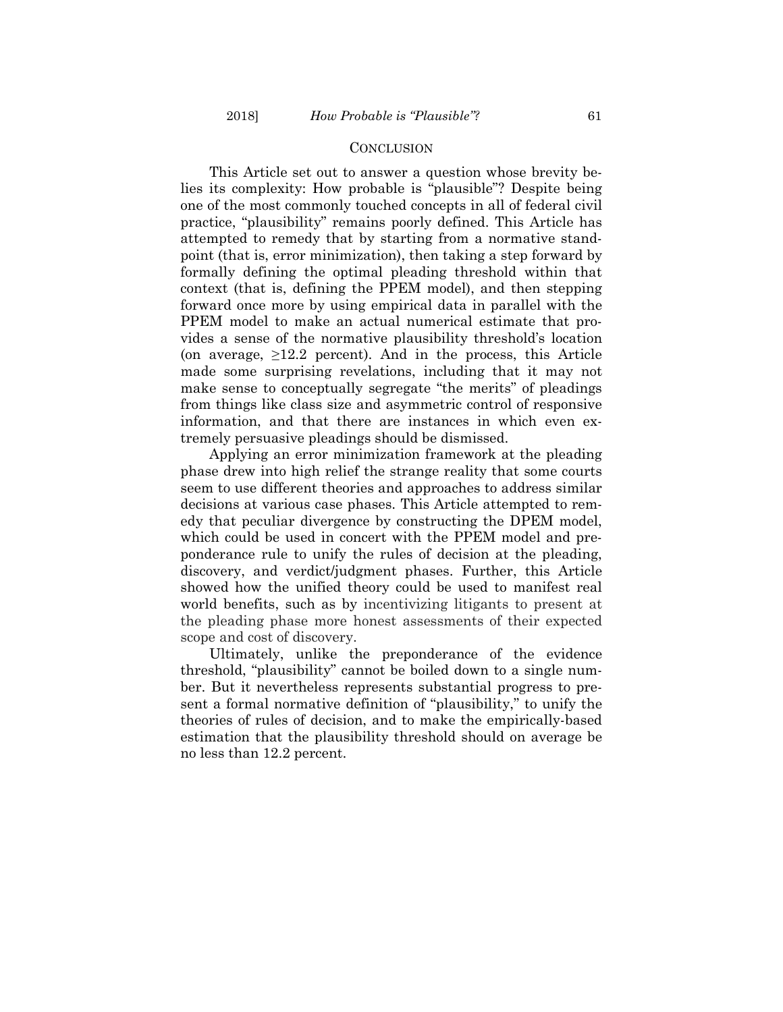#### **CONCLUSION**

This Article set out to answer a question whose brevity belies its complexity: How probable is "plausible"? Despite being one of the most commonly touched concepts in all of federal civil practice, "plausibility" remains poorly defined. This Article has attempted to remedy that by starting from a normative standpoint (that is, error minimization), then taking a step forward by formally defining the optimal pleading threshold within that context (that is, defining the PPEM model), and then stepping forward once more by using empirical data in parallel with the PPEM model to make an actual numerical estimate that provides a sense of the normative plausibility threshold's location (on average,  $\geq 12.2$  percent). And in the process, this Article made some surprising revelations, including that it may not make sense to conceptually segregate "the merits" of pleadings from things like class size and asymmetric control of responsive information, and that there are instances in which even extremely persuasive pleadings should be dismissed.

Applying an error minimization framework at the pleading phase drew into high relief the strange reality that some courts seem to use different theories and approaches to address similar decisions at various case phases. This Article attempted to remedy that peculiar divergence by constructing the DPEM model, which could be used in concert with the PPEM model and preponderance rule to unify the rules of decision at the pleading, discovery, and verdict/judgment phases. Further, this Article showed how the unified theory could be used to manifest real world benefits, such as by incentivizing litigants to present at the pleading phase more honest assessments of their expected scope and cost of discovery.

Ultimately, unlike the preponderance of the evidence threshold, "plausibility" cannot be boiled down to a single number. But it nevertheless represents substantial progress to present a formal normative definition of "plausibility," to unify the theories of rules of decision, and to make the empirically-based estimation that the plausibility threshold should on average be no less than 12.2 percent.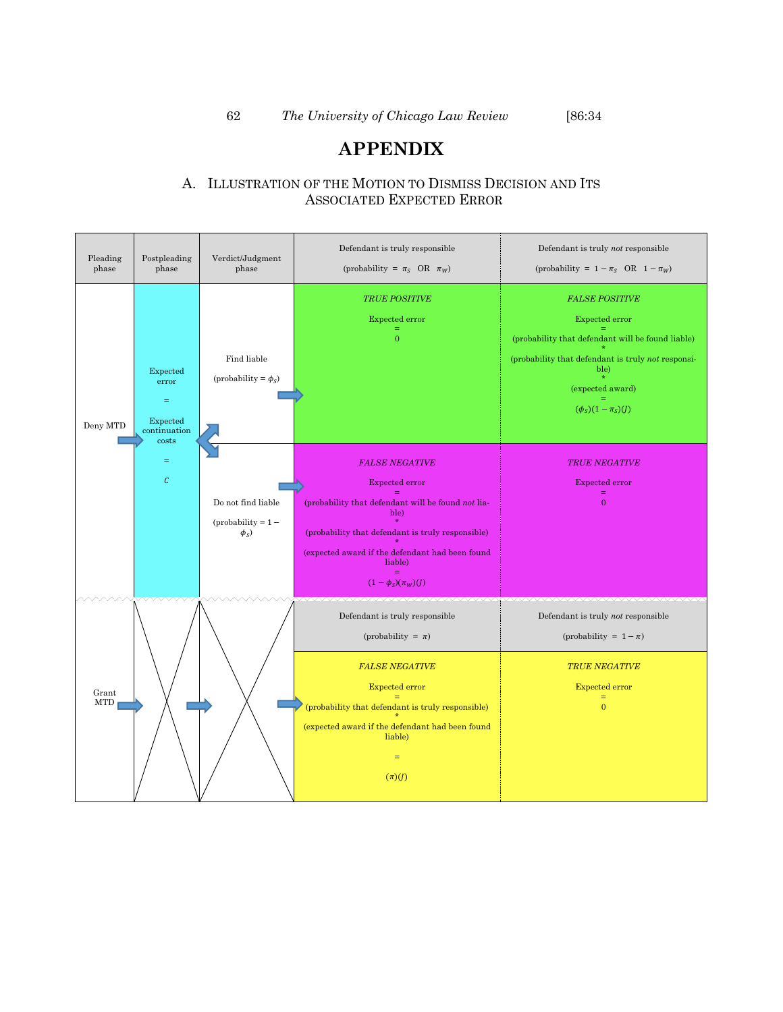# **APPENDIX**

# A. ILLUSTRATION OF THE MOTION TO DISMISS DECISION AND ITS ASSOCIATED EXPECTED ERROR

| Pleading<br>phase        | Postpleading<br>phase                                              | Verdict/Judgment<br>phase                                                                                                                                                                                                                                 | Defendant is truly responsible<br>(probability = $\pi_S$ OR $\pi_W)$                                                                                                                                                                               | Defendant is truly not responsible<br>(probability = $1 - \pi_S$ OR $1 - \pi_W$ )                                                                                                                          |
|--------------------------|--------------------------------------------------------------------|-----------------------------------------------------------------------------------------------------------------------------------------------------------------------------------------------------------------------------------------------------------|----------------------------------------------------------------------------------------------------------------------------------------------------------------------------------------------------------------------------------------------------|------------------------------------------------------------------------------------------------------------------------------------------------------------------------------------------------------------|
| Deny MTD                 | Expected<br>error<br>$\equiv$<br>Expected<br>continuation<br>costs | Find liable<br>(probability = $\phi_S$ )                                                                                                                                                                                                                  | <b>TRUE POSITIVE</b><br>Expected error<br>$\overline{0}$                                                                                                                                                                                           | <b>FALSE POSITIVE</b><br>Expected error<br>(probability that defendant will be found liable)<br>(probability that defendant is truly not responsi-<br>ble)<br>(expected award)<br>$(\phi_S)(1 - \pi_S)(J)$ |
| $\equiv$<br>$\mathcal C$ | Do not find liable<br>$(probability = 1 -$<br>$\phi_{S}$ )         | <b>FALSE NEGATIVE</b><br><b>Expected error</b><br>(probability that defendant will be found not lia-<br>ble)<br>(probability that defendant is truly responsible)<br>(expected award if the defendant had been found<br>liable)<br>$(1-\phi_s)(\pi_W)(J)$ | <b>TRUE NEGATIVE</b><br><b>Expected error</b><br>$\equiv$<br>$\overline{0}$                                                                                                                                                                        |                                                                                                                                                                                                            |
| Grant<br><b>MTD</b>      |                                                                    |                                                                                                                                                                                                                                                           | Defendant is truly responsible<br>(probability = $\pi$ )<br><b>FALSE NEGATIVE</b><br><b>Expected error</b><br>(probability that defendant is truly responsible)<br>(expected award if the defendant had been found<br>liable)<br>$=$<br>$(\pi)(J)$ | Defendant is truly not responsible<br>(probability = $1 - \pi$ )<br><b>TRUE NEGATIVE</b><br><b>Expected error</b><br>$=$<br>$\overline{0}$                                                                 |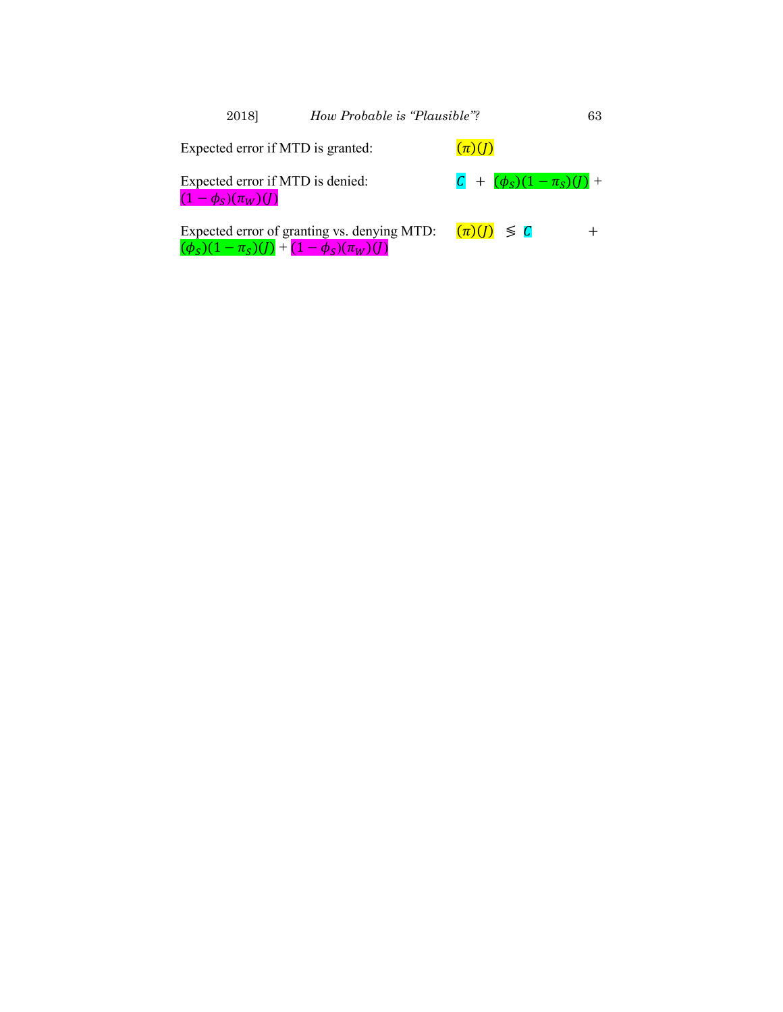| 2018                                                                  | How Probable is "Plausible"?                |                                | 63 |
|-----------------------------------------------------------------------|---------------------------------------------|--------------------------------|----|
| Expected error if MTD is granted:                                     |                                             | $(\pi)(J)$                     |    |
| Expected error if MTD is denied:<br>$(1-\phi_S)(\pi_W)(J)$            |                                             | $C + (\phi_S)(1 - \pi_S)(I) +$ |    |
| $(\phi_{\rm S})(1-\pi_{\rm S})(I) + (1-\phi_{\rm S})(\pi_{\rm W})(I)$ | Expected error of granting vs. denying MTD: | $(\pi)(I) \leq C$              |    |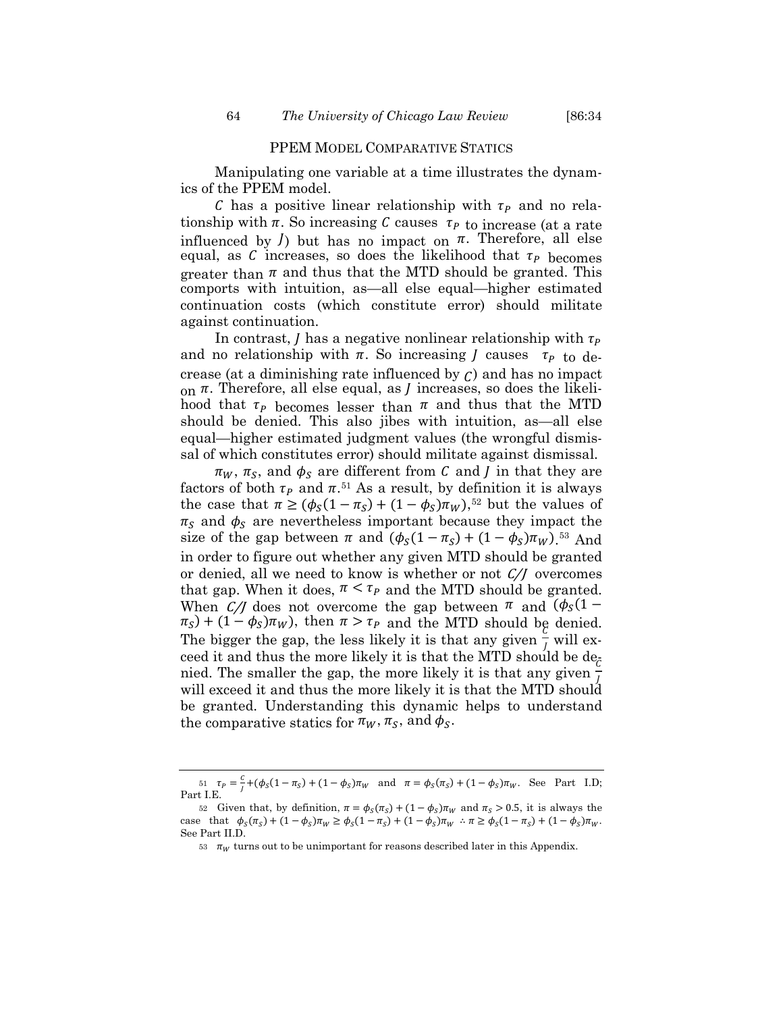Manipulating one variable at a time illustrates the dynamics of the PPEM model.

C has a positive linear relationship with  $\tau_p$  and no relationship with  $\pi$ . So increasing C causes  $\tau_{P}$  to increase (at a rate influenced by  $\ell$ ) but has no impact on  $\pi$ . Therefore, all else equal, as C increases, so does the likelihood that  $\tau_{P}$  becomes greater than  $\pi$  and thus that the MTD should be granted. This comports with intuition, as—all else equal—higher estimated continuation costs (which constitute error) should militate against continuation.

In contrast, *I* has a negative nonlinear relationship with  $\tau_p$ and no relationship with  $\pi$ . So increasing *J* causes  $\tau_{P}$  to decrease (at a diminishing rate influenced by  $C$ ) and has no impact on  $\pi$ . Therefore, all else equal, as *J* increases, so does the likelihood that  $\tau_P$  becomes lesser than  $\pi$  and thus that the MTD should be denied. This also jibes with intuition, as—all else equal—higher estimated judgment values (the wrongful dismissal of which constitutes error) should militate against dismissal.

 $\pi_W$ ,  $\pi_S$ , and  $\phi_S$  are different from C and J in that they are factors of both  $\tau_p$  and  $\pi$ .<sup>[51](#page-30-0)</sup> As a result, by definition it is always the case that  $\pi \ge (\phi_S(1 - \pi_S) + (1 - \phi_S)\pi_W),$ <sup>[52](#page-30-1)</sup> but the values of  $\pi_{\rm S}$  and  $\phi_{\rm S}$  are nevertheless important because they impact the size of the gap between  $\pi$  and  $(\phi_S(1 - \pi_S) + (1 - \phi_S)\pi_W)$ .<sup>[53](#page-30-2)</sup> And in order to figure out whether any given MTD should be granted or denied, all we need to know is whether or not  $C/J$  overcomes that gap. When it does,  $\pi < \tau_P$  and the MTD should be granted. When C/J does not overcome the gap between  $\pi$  and  $(\phi_s(1 \pi_S$ ) + (1 –  $\phi_S$ ) $\pi_W$ ), then  $\pi > \tau_P$  and the MTD should be denied. The bigger the gap, the less likely it is that any given  $\frac{\epsilon}{l}$  will exceed it and thus the more likely it is that the MTD should be  $de_{\bar{c}}$ nied. The smaller the gap, the more likely it is that any given  $\frac{c}{l}$ 1 will exceed it and thus the more likely it is that the MTD should be granted. Understanding this dynamic helps to understand the comparative statics for  $\pi_W$ ,  $\pi_S$ , and  $\phi_S$ .

<span id="page-30-0"></span><sup>51</sup>  $\tau_p = \frac{c}{l} + (\phi_S(1 - \pi_S) + (1 - \phi_S)\pi_W)$  and  $\pi = \phi_S(\pi_S) + (1 - \phi_S)\pi_W$ . See Part I.D; Part I.E.

<span id="page-30-2"></span><span id="page-30-1"></span><sup>52</sup> Given that, by definition,  $\pi = \phi_S(\pi_S) + (1 - \phi_S)\pi_W$  and  $\pi_S > 0.5$ , it is always the case that  $\phi_S(\pi_S) + (1 - \phi_S)\pi_W \ge \phi_S(1 - \pi_S) + (1 - \phi_S)\pi_W$   $\therefore \pi \ge \phi_S(1 - \pi_S) + (1 - \phi_S)\pi_W$ . See Part II.D.

<sup>53</sup>  $\pi_{w}$  turns out to be unimportant for reasons described later in this Appendix.